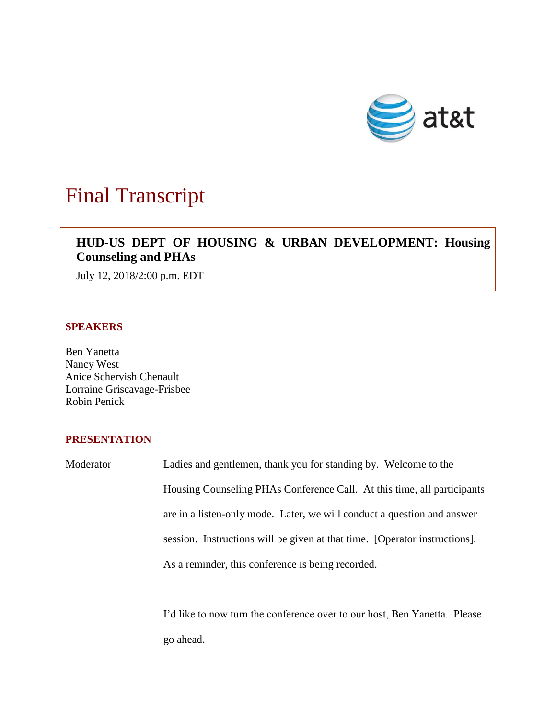

# Final Transcript

# **HUD-US DEPT OF HOUSING & URBAN DEVELOPMENT: Housing Counseling and PHAs**

July 12, 2018/2:00 p.m. EDT

# **SPEAKERS**

Ben Yanetta Nancy West Anice Schervish Chenault Lorraine Griscavage-Frisbee Robin Penick

# **PRESENTATION**

Moderator Ladies and gentlemen, thank you for standing by. Welcome to the Housing Counseling PHAs Conference Call. At this time, all participants are in a listen-only mode. Later, we will conduct a question and answer session. Instructions will be given at that time. [Operator instructions]. As a reminder, this conference is being recorded.

> I'd like to now turn the conference over to our host, Ben Yanetta. Please go ahead.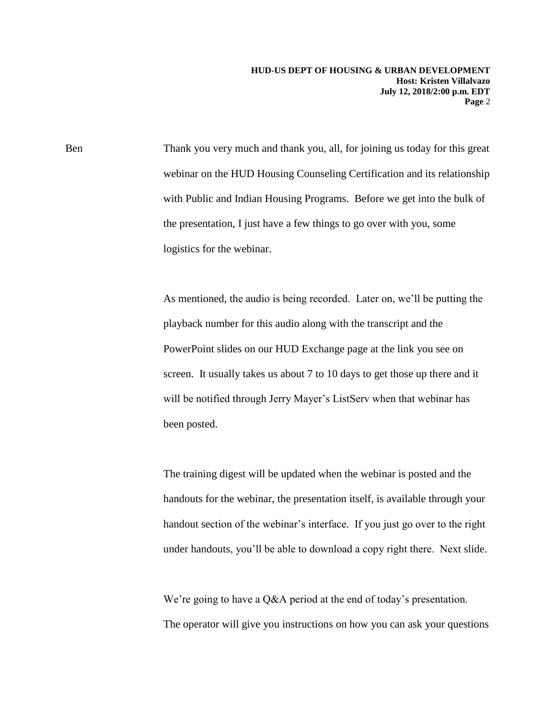Ben Thank you very much and thank you, all, for joining us today for this great webinar on the HUD Housing Counseling Certification and its relationship with Public and Indian Housing Programs. Before we get into the bulk of the presentation, I just have a few things to go over with you, some logistics for the webinar.

> As mentioned, the audio is being recorded. Later on, we'll be putting the playback number for this audio along with the transcript and the PowerPoint slides on our HUD Exchange page at the link you see on screen. It usually takes us about 7 to 10 days to get those up there and it will be notified through Jerry Mayer's ListServ when that webinar has been posted.

The training digest will be updated when the webinar is posted and the handouts for the webinar, the presentation itself, is available through your handout section of the webinar's interface. If you just go over to the right under handouts, you'll be able to download a copy right there. Next slide.

We're going to have a Q&A period at the end of today's presentation. The operator will give you instructions on how you can ask your questions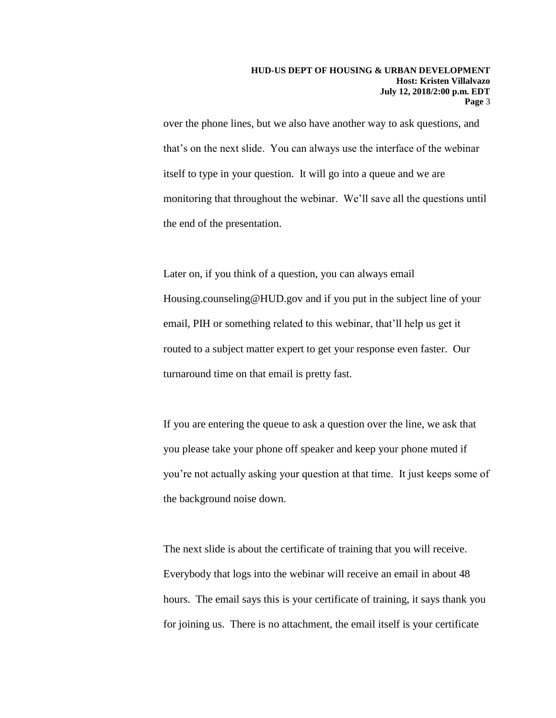over the phone lines, but we also have another way to ask questions, and that's on the next slide. You can always use the interface of the webinar itself to type in your question. It will go into a queue and we are monitoring that throughout the webinar. We'll save all the questions until the end of the presentation.

Later on, if you think of a question, you can always email Housing.counseling@HUD.gov and if you put in the subject line of your email, PIH or something related to this webinar, that'll help us get it routed to a subject matter expert to get your response even faster. Our turnaround time on that email is pretty fast.

If you are entering the queue to ask a question over the line, we ask that you please take your phone off speaker and keep your phone muted if you're not actually asking your question at that time. It just keeps some of the background noise down.

The next slide is about the certificate of training that you will receive. Everybody that logs into the webinar will receive an email in about 48 hours. The email says this is your certificate of training, it says thank you for joining us. There is no attachment, the email itself is your certificate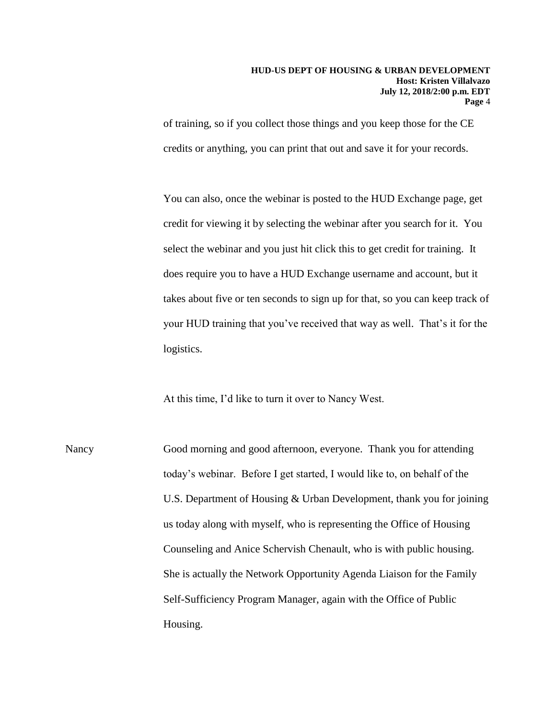of training, so if you collect those things and you keep those for the CE credits or anything, you can print that out and save it for your records.

You can also, once the webinar is posted to the HUD Exchange page, get credit for viewing it by selecting the webinar after you search for it. You select the webinar and you just hit click this to get credit for training. It does require you to have a HUD Exchange username and account, but it takes about five or ten seconds to sign up for that, so you can keep track of your HUD training that you've received that way as well. That's it for the logistics.

At this time, I'd like to turn it over to Nancy West.

Nancy Good morning and good afternoon, everyone. Thank you for attending today's webinar. Before I get started, I would like to, on behalf of the U.S. Department of Housing & Urban Development, thank you for joining us today along with myself, who is representing the Office of Housing Counseling and Anice Schervish Chenault, who is with public housing. She is actually the Network Opportunity Agenda Liaison for the Family Self-Sufficiency Program Manager, again with the Office of Public Housing.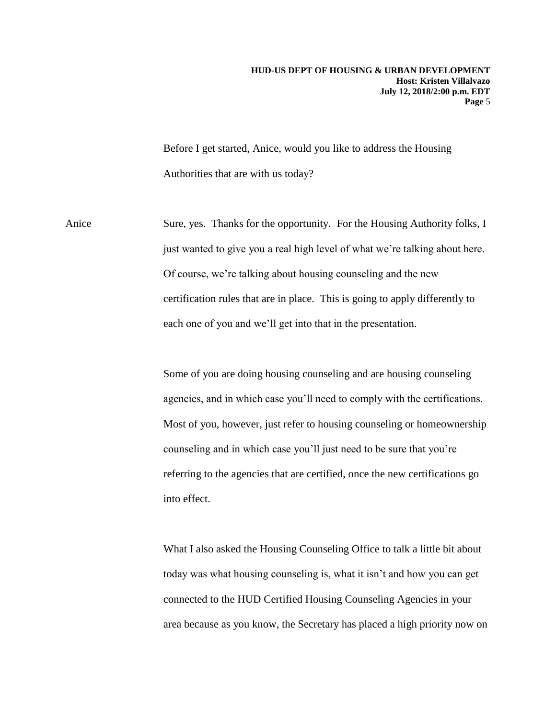Before I get started, Anice, would you like to address the Housing Authorities that are with us today?

Anice Sure, yes. Thanks for the opportunity. For the Housing Authority folks, I just wanted to give you a real high level of what we're talking about here. Of course, we're talking about housing counseling and the new certification rules that are in place. This is going to apply differently to each one of you and we'll get into that in the presentation.

> Some of you are doing housing counseling and are housing counseling agencies, and in which case you'll need to comply with the certifications. Most of you, however, just refer to housing counseling or homeownership counseling and in which case you'll just need to be sure that you're referring to the agencies that are certified, once the new certifications go into effect.

> What I also asked the Housing Counseling Office to talk a little bit about today was what housing counseling is, what it isn't and how you can get connected to the HUD Certified Housing Counseling Agencies in your area because as you know, the Secretary has placed a high priority now on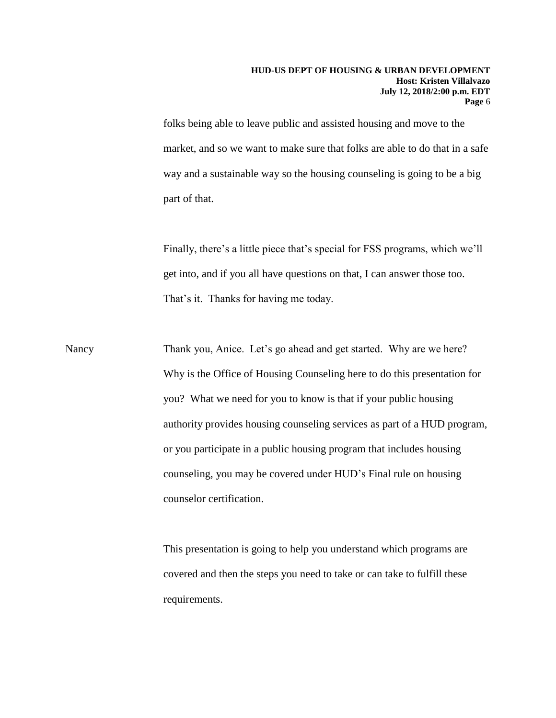folks being able to leave public and assisted housing and move to the market, and so we want to make sure that folks are able to do that in a safe way and a sustainable way so the housing counseling is going to be a big part of that.

Finally, there's a little piece that's special for FSS programs, which we'll get into, and if you all have questions on that, I can answer those too. That's it. Thanks for having me today.

Nancy Thank you, Anice. Let's go ahead and get started. Why are we here? Why is the Office of Housing Counseling here to do this presentation for you? What we need for you to know is that if your public housing authority provides housing counseling services as part of a HUD program, or you participate in a public housing program that includes housing counseling, you may be covered under HUD's Final rule on housing counselor certification.

> This presentation is going to help you understand which programs are covered and then the steps you need to take or can take to fulfill these requirements.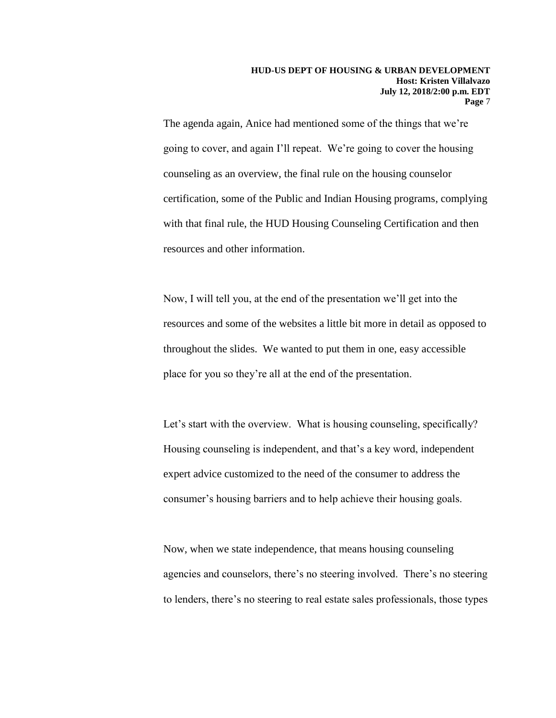The agenda again, Anice had mentioned some of the things that we're going to cover, and again I'll repeat. We're going to cover the housing counseling as an overview, the final rule on the housing counselor certification, some of the Public and Indian Housing programs, complying with that final rule, the HUD Housing Counseling Certification and then resources and other information.

Now, I will tell you, at the end of the presentation we'll get into the resources and some of the websites a little bit more in detail as opposed to throughout the slides. We wanted to put them in one, easy accessible place for you so they're all at the end of the presentation.

Let's start with the overview. What is housing counseling, specifically? Housing counseling is independent, and that's a key word, independent expert advice customized to the need of the consumer to address the consumer's housing barriers and to help achieve their housing goals.

Now, when we state independence, that means housing counseling agencies and counselors, there's no steering involved. There's no steering to lenders, there's no steering to real estate sales professionals, those types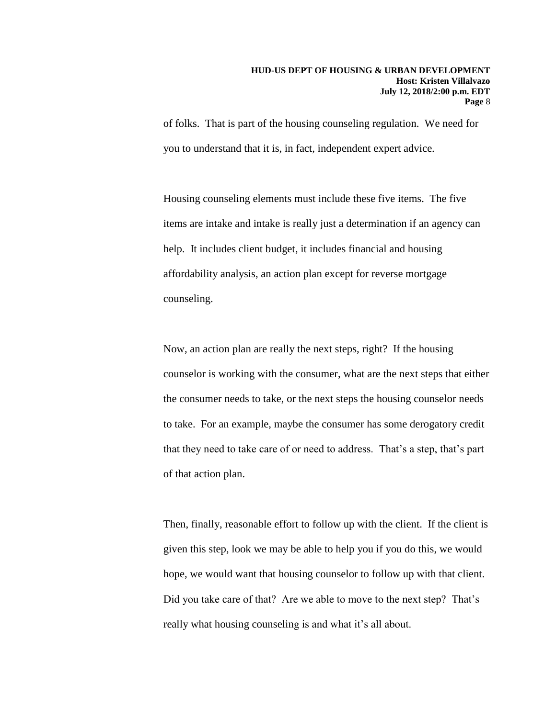of folks. That is part of the housing counseling regulation. We need for you to understand that it is, in fact, independent expert advice.

Housing counseling elements must include these five items. The five items are intake and intake is really just a determination if an agency can help. It includes client budget, it includes financial and housing affordability analysis, an action plan except for reverse mortgage counseling.

Now, an action plan are really the next steps, right? If the housing counselor is working with the consumer, what are the next steps that either the consumer needs to take, or the next steps the housing counselor needs to take. For an example, maybe the consumer has some derogatory credit that they need to take care of or need to address. That's a step, that's part of that action plan.

Then, finally, reasonable effort to follow up with the client. If the client is given this step, look we may be able to help you if you do this, we would hope, we would want that housing counselor to follow up with that client. Did you take care of that? Are we able to move to the next step? That's really what housing counseling is and what it's all about.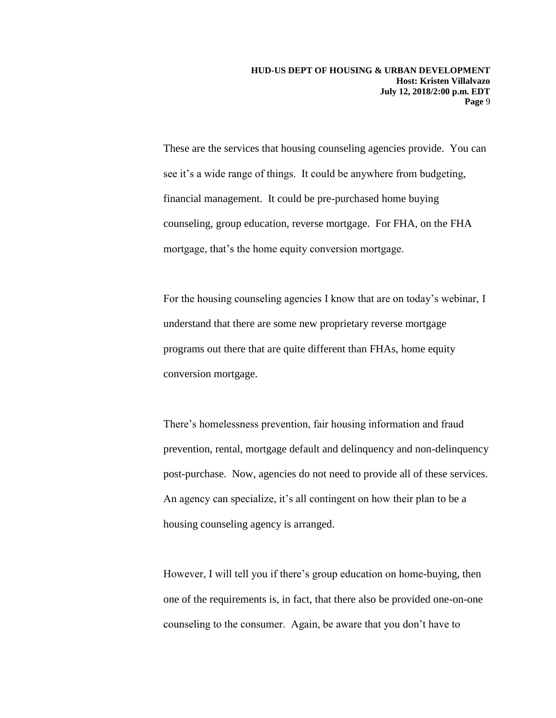These are the services that housing counseling agencies provide. You can see it's a wide range of things. It could be anywhere from budgeting, financial management. It could be pre-purchased home buying counseling, group education, reverse mortgage. For FHA, on the FHA mortgage, that's the home equity conversion mortgage.

For the housing counseling agencies I know that are on today's webinar, I understand that there are some new proprietary reverse mortgage programs out there that are quite different than FHAs, home equity conversion mortgage.

There's homelessness prevention, fair housing information and fraud prevention, rental, mortgage default and delinquency and non-delinquency post-purchase. Now, agencies do not need to provide all of these services. An agency can specialize, it's all contingent on how their plan to be a housing counseling agency is arranged.

However, I will tell you if there's group education on home-buying, then one of the requirements is, in fact, that there also be provided one-on-one counseling to the consumer. Again, be aware that you don't have to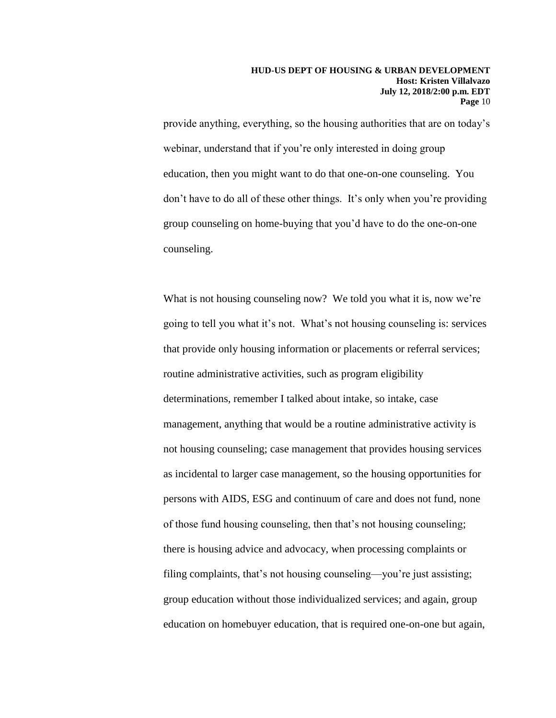provide anything, everything, so the housing authorities that are on today's webinar, understand that if you're only interested in doing group education, then you might want to do that one-on-one counseling. You don't have to do all of these other things. It's only when you're providing group counseling on home-buying that you'd have to do the one-on-one counseling.

What is not housing counseling now? We told you what it is, now we're going to tell you what it's not. What's not housing counseling is: services that provide only housing information or placements or referral services; routine administrative activities, such as program eligibility determinations, remember I talked about intake, so intake, case management, anything that would be a routine administrative activity is not housing counseling; case management that provides housing services as incidental to larger case management, so the housing opportunities for persons with AIDS, ESG and continuum of care and does not fund, none of those fund housing counseling, then that's not housing counseling; there is housing advice and advocacy, when processing complaints or filing complaints, that's not housing counseling—you're just assisting; group education without those individualized services; and again, group education on homebuyer education, that is required one-on-one but again,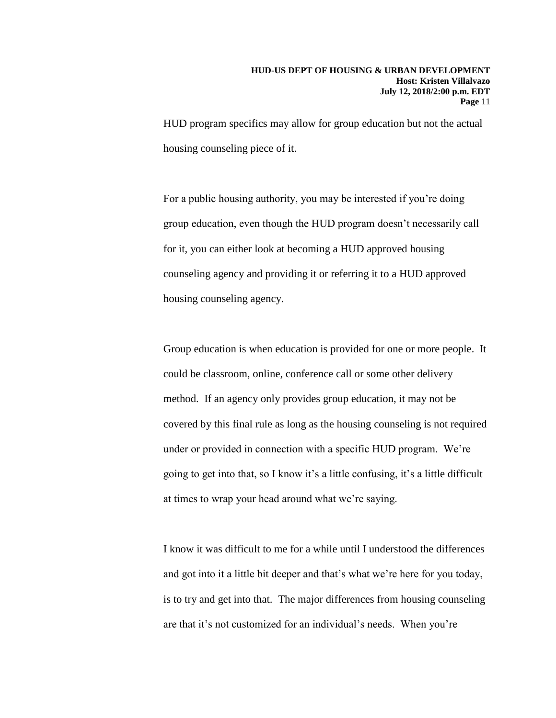HUD program specifics may allow for group education but not the actual housing counseling piece of it.

For a public housing authority, you may be interested if you're doing group education, even though the HUD program doesn't necessarily call for it, you can either look at becoming a HUD approved housing counseling agency and providing it or referring it to a HUD approved housing counseling agency.

Group education is when education is provided for one or more people. It could be classroom, online, conference call or some other delivery method. If an agency only provides group education, it may not be covered by this final rule as long as the housing counseling is not required under or provided in connection with a specific HUD program. We're going to get into that, so I know it's a little confusing, it's a little difficult at times to wrap your head around what we're saying.

I know it was difficult to me for a while until I understood the differences and got into it a little bit deeper and that's what we're here for you today, is to try and get into that. The major differences from housing counseling are that it's not customized for an individual's needs. When you're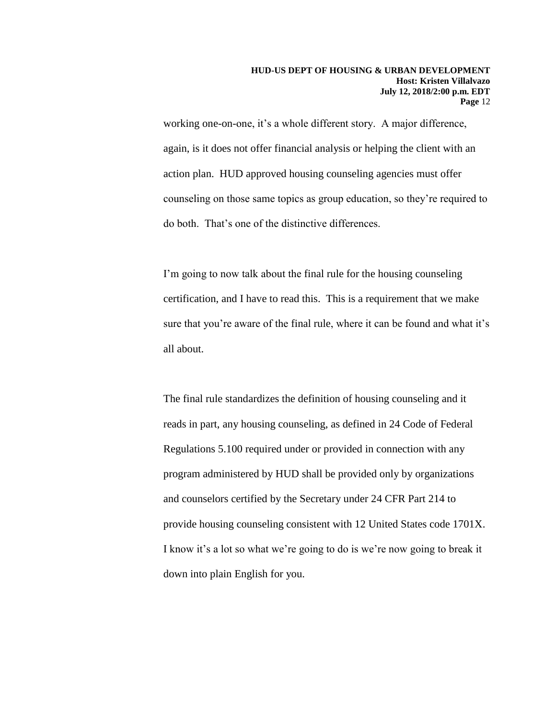working one-on-one, it's a whole different story. A major difference, again, is it does not offer financial analysis or helping the client with an action plan. HUD approved housing counseling agencies must offer counseling on those same topics as group education, so they're required to do both. That's one of the distinctive differences.

I'm going to now talk about the final rule for the housing counseling certification, and I have to read this. This is a requirement that we make sure that you're aware of the final rule, where it can be found and what it's all about.

The final rule standardizes the definition of housing counseling and it reads in part, any housing counseling, as defined in 24 Code of Federal Regulations 5.100 required under or provided in connection with any program administered by HUD shall be provided only by organizations and counselors certified by the Secretary under 24 CFR Part 214 to provide housing counseling consistent with 12 United States code 1701X. I know it's a lot so what we're going to do is we're now going to break it down into plain English for you.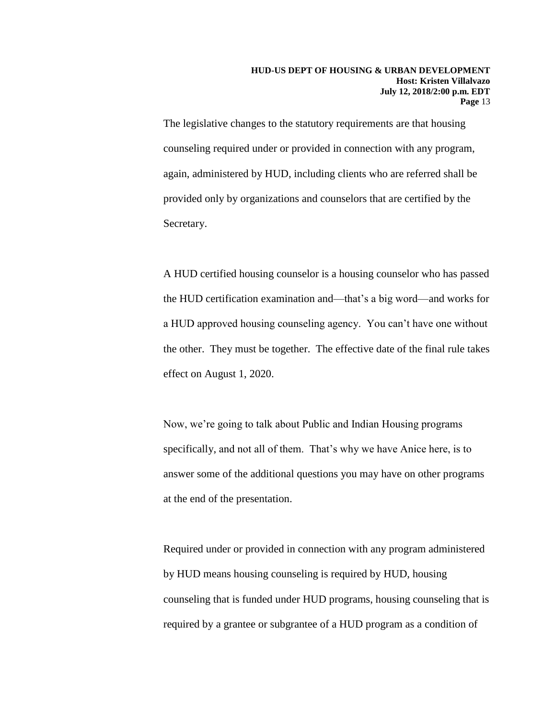The legislative changes to the statutory requirements are that housing counseling required under or provided in connection with any program, again, administered by HUD, including clients who are referred shall be provided only by organizations and counselors that are certified by the Secretary.

A HUD certified housing counselor is a housing counselor who has passed the HUD certification examination and—that's a big word—and works for a HUD approved housing counseling agency. You can't have one without the other. They must be together. The effective date of the final rule takes effect on August 1, 2020.

Now, we're going to talk about Public and Indian Housing programs specifically, and not all of them. That's why we have Anice here, is to answer some of the additional questions you may have on other programs at the end of the presentation.

Required under or provided in connection with any program administered by HUD means housing counseling is required by HUD, housing counseling that is funded under HUD programs, housing counseling that is required by a grantee or subgrantee of a HUD program as a condition of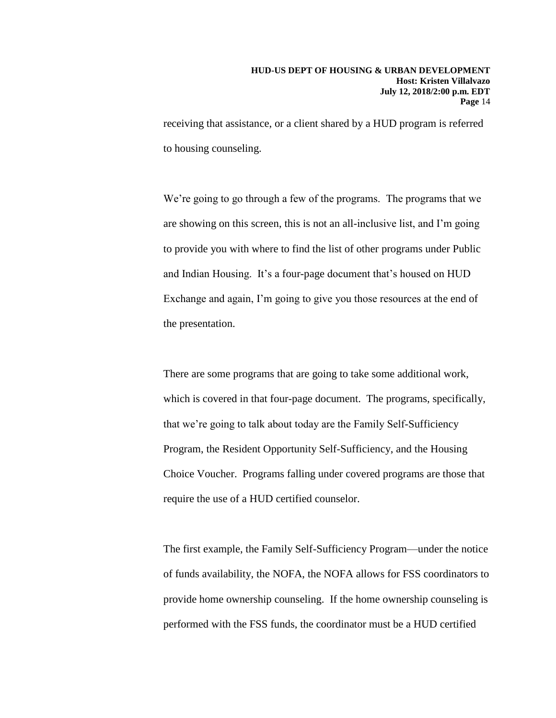receiving that assistance, or a client shared by a HUD program is referred to housing counseling.

We're going to go through a few of the programs. The programs that we are showing on this screen, this is not an all-inclusive list, and I'm going to provide you with where to find the list of other programs under Public and Indian Housing. It's a four-page document that's housed on HUD Exchange and again, I'm going to give you those resources at the end of the presentation.

There are some programs that are going to take some additional work, which is covered in that four-page document. The programs, specifically, that we're going to talk about today are the Family Self-Sufficiency Program, the Resident Opportunity Self-Sufficiency, and the Housing Choice Voucher. Programs falling under covered programs are those that require the use of a HUD certified counselor.

The first example, the Family Self-Sufficiency Program—under the notice of funds availability, the NOFA, the NOFA allows for FSS coordinators to provide home ownership counseling. If the home ownership counseling is performed with the FSS funds, the coordinator must be a HUD certified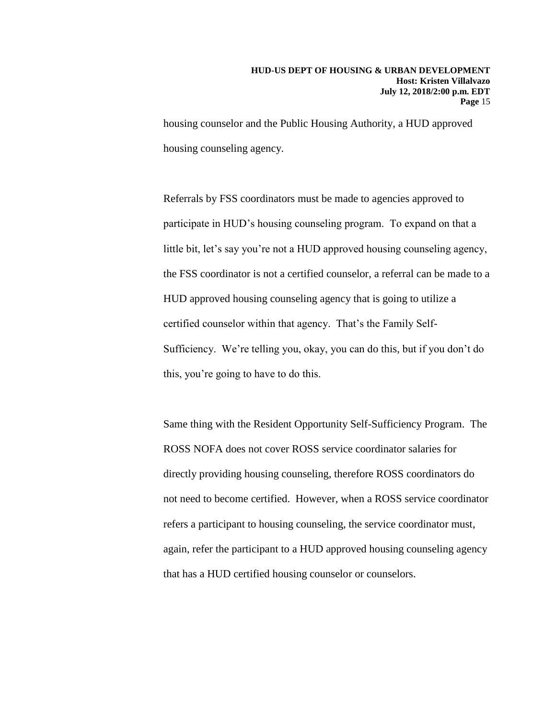housing counselor and the Public Housing Authority, a HUD approved housing counseling agency.

Referrals by FSS coordinators must be made to agencies approved to participate in HUD's housing counseling program. To expand on that a little bit, let's say you're not a HUD approved housing counseling agency, the FSS coordinator is not a certified counselor, a referral can be made to a HUD approved housing counseling agency that is going to utilize a certified counselor within that agency. That's the Family Self-Sufficiency. We're telling you, okay, you can do this, but if you don't do this, you're going to have to do this.

Same thing with the Resident Opportunity Self-Sufficiency Program. The ROSS NOFA does not cover ROSS service coordinator salaries for directly providing housing counseling, therefore ROSS coordinators do not need to become certified. However, when a ROSS service coordinator refers a participant to housing counseling, the service coordinator must, again, refer the participant to a HUD approved housing counseling agency that has a HUD certified housing counselor or counselors.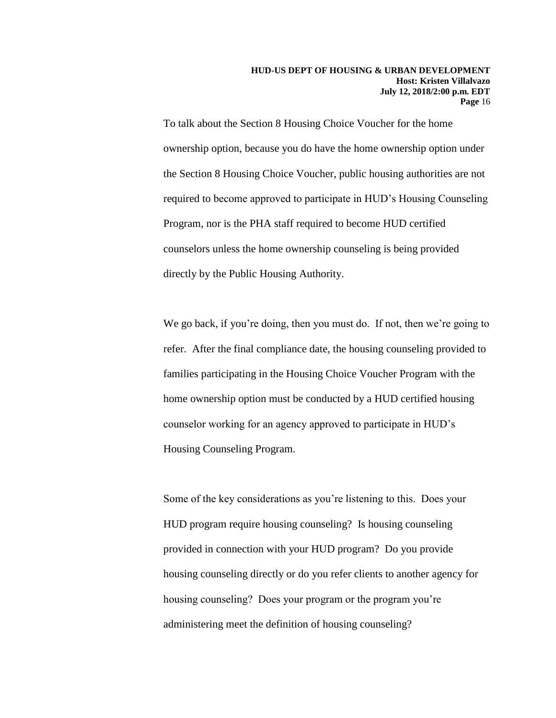To talk about the Section 8 Housing Choice Voucher for the home ownership option, because you do have the home ownership option under the Section 8 Housing Choice Voucher, public housing authorities are not required to become approved to participate in HUD's Housing Counseling Program, nor is the PHA staff required to become HUD certified counselors unless the home ownership counseling is being provided directly by the Public Housing Authority.

We go back, if you're doing, then you must do. If not, then we're going to refer. After the final compliance date, the housing counseling provided to families participating in the Housing Choice Voucher Program with the home ownership option must be conducted by a HUD certified housing counselor working for an agency approved to participate in HUD's Housing Counseling Program.

Some of the key considerations as you're listening to this. Does your HUD program require housing counseling? Is housing counseling provided in connection with your HUD program? Do you provide housing counseling directly or do you refer clients to another agency for housing counseling? Does your program or the program you're administering meet the definition of housing counseling?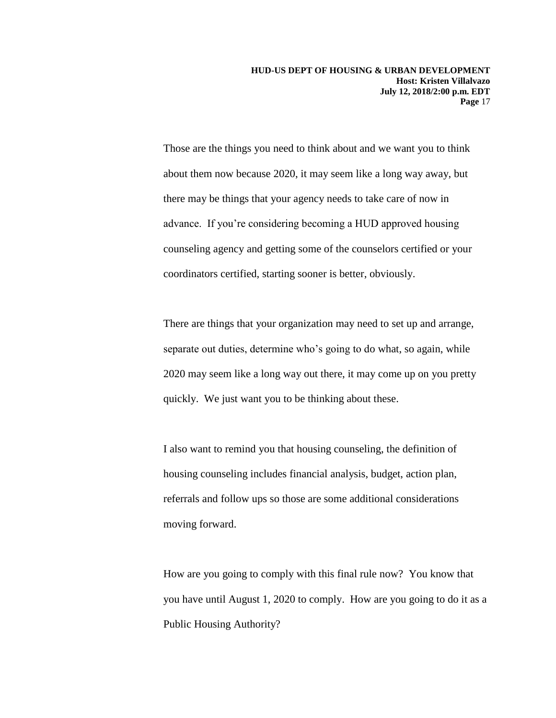Those are the things you need to think about and we want you to think about them now because 2020, it may seem like a long way away, but there may be things that your agency needs to take care of now in advance. If you're considering becoming a HUD approved housing counseling agency and getting some of the counselors certified or your coordinators certified, starting sooner is better, obviously.

There are things that your organization may need to set up and arrange, separate out duties, determine who's going to do what, so again, while 2020 may seem like a long way out there, it may come up on you pretty quickly. We just want you to be thinking about these.

I also want to remind you that housing counseling, the definition of housing counseling includes financial analysis, budget, action plan, referrals and follow ups so those are some additional considerations moving forward.

How are you going to comply with this final rule now? You know that you have until August 1, 2020 to comply. How are you going to do it as a Public Housing Authority?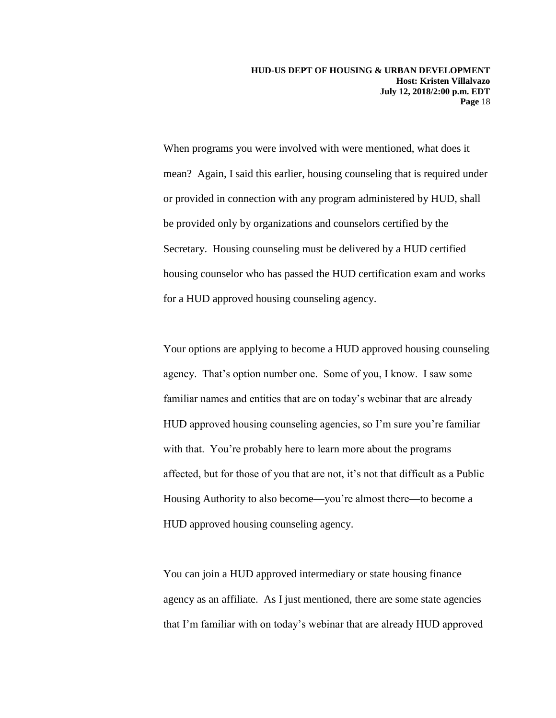When programs you were involved with were mentioned, what does it mean? Again, I said this earlier, housing counseling that is required under or provided in connection with any program administered by HUD, shall be provided only by organizations and counselors certified by the Secretary. Housing counseling must be delivered by a HUD certified housing counselor who has passed the HUD certification exam and works for a HUD approved housing counseling agency.

Your options are applying to become a HUD approved housing counseling agency. That's option number one. Some of you, I know. I saw some familiar names and entities that are on today's webinar that are already HUD approved housing counseling agencies, so I'm sure you're familiar with that. You're probably here to learn more about the programs affected, but for those of you that are not, it's not that difficult as a Public Housing Authority to also become—you're almost there—to become a HUD approved housing counseling agency.

You can join a HUD approved intermediary or state housing finance agency as an affiliate. As I just mentioned, there are some state agencies that I'm familiar with on today's webinar that are already HUD approved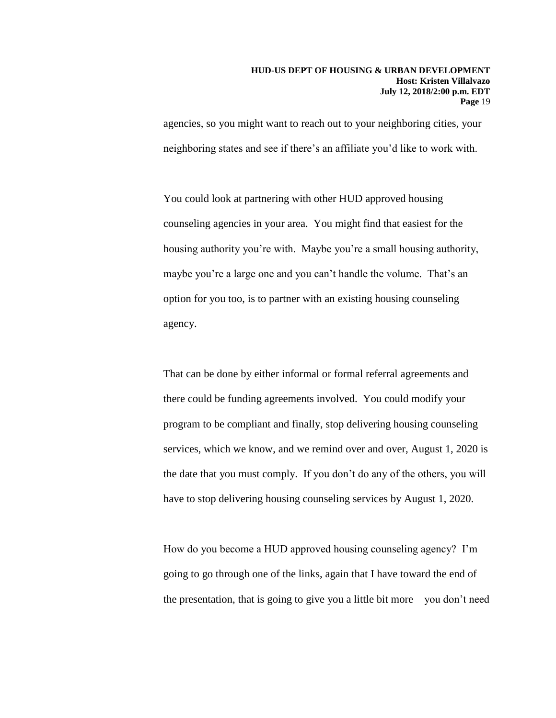agencies, so you might want to reach out to your neighboring cities, your neighboring states and see if there's an affiliate you'd like to work with.

You could look at partnering with other HUD approved housing counseling agencies in your area. You might find that easiest for the housing authority you're with. Maybe you're a small housing authority, maybe you're a large one and you can't handle the volume. That's an option for you too, is to partner with an existing housing counseling agency.

That can be done by either informal or formal referral agreements and there could be funding agreements involved. You could modify your program to be compliant and finally, stop delivering housing counseling services, which we know, and we remind over and over, August 1, 2020 is the date that you must comply. If you don't do any of the others, you will have to stop delivering housing counseling services by August 1, 2020.

How do you become a HUD approved housing counseling agency? I'm going to go through one of the links, again that I have toward the end of the presentation, that is going to give you a little bit more—you don't need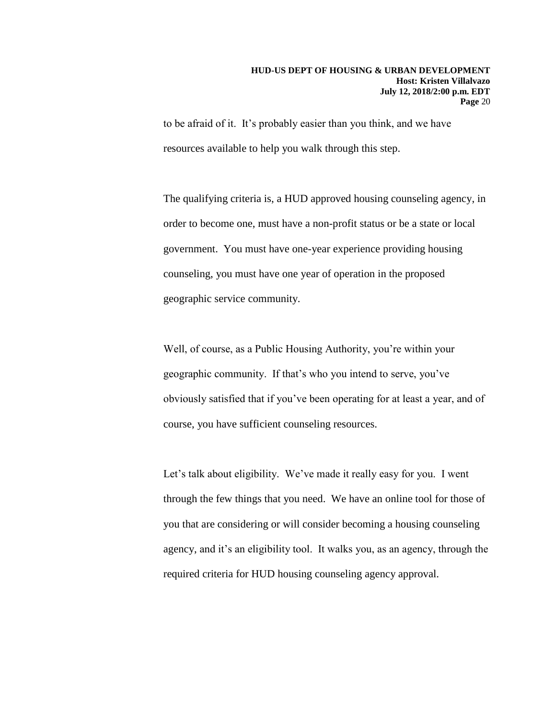to be afraid of it. It's probably easier than you think, and we have resources available to help you walk through this step.

The qualifying criteria is, a HUD approved housing counseling agency, in order to become one, must have a non-profit status or be a state or local government. You must have one-year experience providing housing counseling, you must have one year of operation in the proposed geographic service community.

Well, of course, as a Public Housing Authority, you're within your geographic community. If that's who you intend to serve, you've obviously satisfied that if you've been operating for at least a year, and of course, you have sufficient counseling resources.

Let's talk about eligibility. We've made it really easy for you. I went through the few things that you need. We have an online tool for those of you that are considering or will consider becoming a housing counseling agency, and it's an eligibility tool. It walks you, as an agency, through the required criteria for HUD housing counseling agency approval.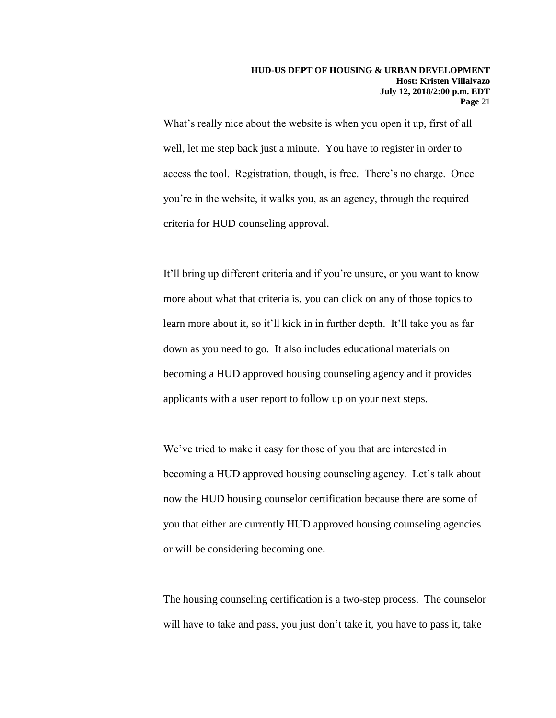What's really nice about the website is when you open it up, first of all well, let me step back just a minute. You have to register in order to access the tool. Registration, though, is free. There's no charge. Once you're in the website, it walks you, as an agency, through the required criteria for HUD counseling approval.

It'll bring up different criteria and if you're unsure, or you want to know more about what that criteria is, you can click on any of those topics to learn more about it, so it'll kick in in further depth. It'll take you as far down as you need to go. It also includes educational materials on becoming a HUD approved housing counseling agency and it provides applicants with a user report to follow up on your next steps.

We've tried to make it easy for those of you that are interested in becoming a HUD approved housing counseling agency. Let's talk about now the HUD housing counselor certification because there are some of you that either are currently HUD approved housing counseling agencies or will be considering becoming one.

The housing counseling certification is a two-step process. The counselor will have to take and pass, you just don't take it, you have to pass it, take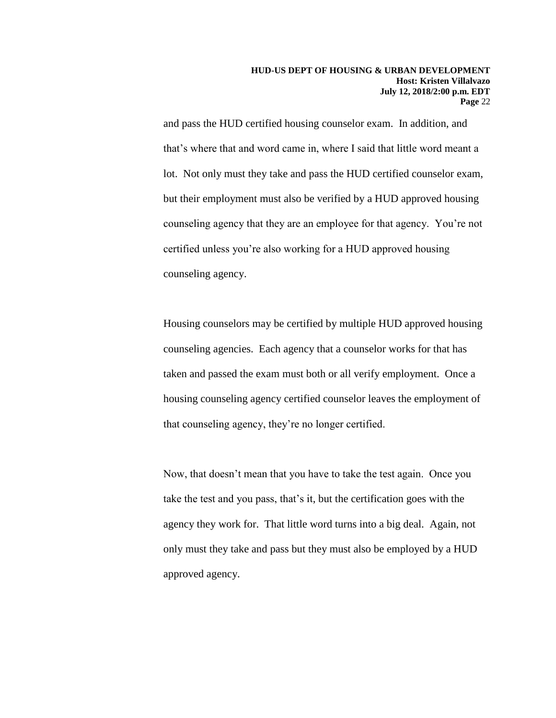and pass the HUD certified housing counselor exam. In addition, and that's where that and word came in, where I said that little word meant a lot. Not only must they take and pass the HUD certified counselor exam, but their employment must also be verified by a HUD approved housing counseling agency that they are an employee for that agency. You're not certified unless you're also working for a HUD approved housing counseling agency.

Housing counselors may be certified by multiple HUD approved housing counseling agencies. Each agency that a counselor works for that has taken and passed the exam must both or all verify employment. Once a housing counseling agency certified counselor leaves the employment of that counseling agency, they're no longer certified.

Now, that doesn't mean that you have to take the test again. Once you take the test and you pass, that's it, but the certification goes with the agency they work for. That little word turns into a big deal. Again, not only must they take and pass but they must also be employed by a HUD approved agency.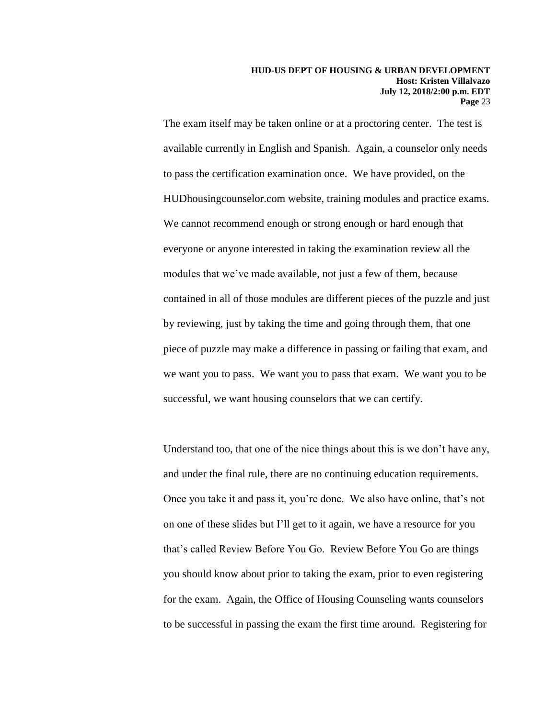The exam itself may be taken online or at a proctoring center. The test is available currently in English and Spanish. Again, a counselor only needs to pass the certification examination once. We have provided, on the HUDhousingcounselor.com website, training modules and practice exams. We cannot recommend enough or strong enough or hard enough that everyone or anyone interested in taking the examination review all the modules that we've made available, not just a few of them, because contained in all of those modules are different pieces of the puzzle and just by reviewing, just by taking the time and going through them, that one piece of puzzle may make a difference in passing or failing that exam, and we want you to pass. We want you to pass that exam. We want you to be successful, we want housing counselors that we can certify.

Understand too, that one of the nice things about this is we don't have any, and under the final rule, there are no continuing education requirements. Once you take it and pass it, you're done. We also have online, that's not on one of these slides but I'll get to it again, we have a resource for you that's called Review Before You Go. Review Before You Go are things you should know about prior to taking the exam, prior to even registering for the exam. Again, the Office of Housing Counseling wants counselors to be successful in passing the exam the first time around. Registering for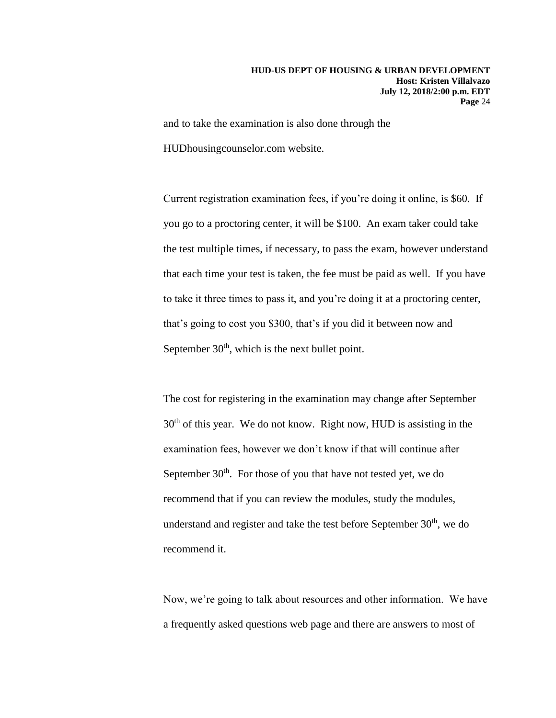and to take the examination is also done through the

HUDhousingcounselor.com website.

Current registration examination fees, if you're doing it online, is \$60. If you go to a proctoring center, it will be \$100. An exam taker could take the test multiple times, if necessary, to pass the exam, however understand that each time your test is taken, the fee must be paid as well. If you have to take it three times to pass it, and you're doing it at a proctoring center, that's going to cost you \$300, that's if you did it between now and September  $30<sup>th</sup>$ , which is the next bullet point.

The cost for registering in the examination may change after September  $30<sup>th</sup>$  of this year. We do not know. Right now, HUD is assisting in the examination fees, however we don't know if that will continue after September  $30<sup>th</sup>$ . For those of you that have not tested yet, we do recommend that if you can review the modules, study the modules, understand and register and take the test before September  $30<sup>th</sup>$ , we do recommend it.

Now, we're going to talk about resources and other information. We have a frequently asked questions web page and there are answers to most of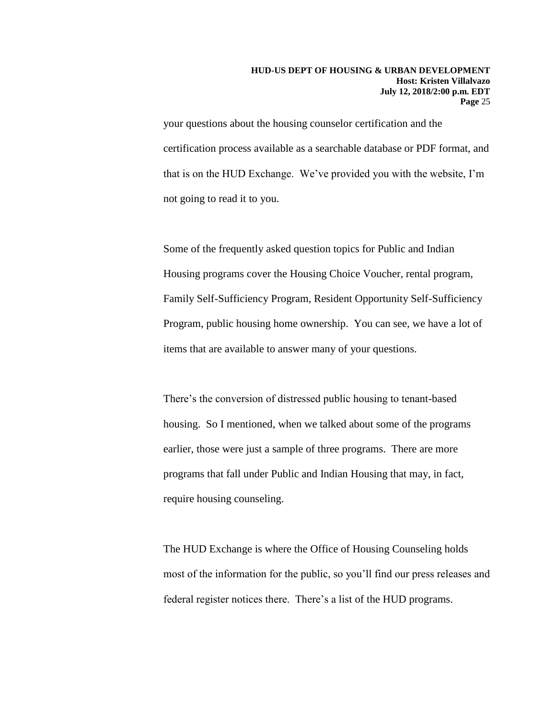your questions about the housing counselor certification and the certification process available as a searchable database or PDF format, and that is on the HUD Exchange. We've provided you with the website, I'm not going to read it to you.

Some of the frequently asked question topics for Public and Indian Housing programs cover the Housing Choice Voucher, rental program, Family Self-Sufficiency Program, Resident Opportunity Self-Sufficiency Program, public housing home ownership. You can see, we have a lot of items that are available to answer many of your questions.

There's the conversion of distressed public housing to tenant-based housing. So I mentioned, when we talked about some of the programs earlier, those were just a sample of three programs. There are more programs that fall under Public and Indian Housing that may, in fact, require housing counseling.

The HUD Exchange is where the Office of Housing Counseling holds most of the information for the public, so you'll find our press releases and federal register notices there. There's a list of the HUD programs.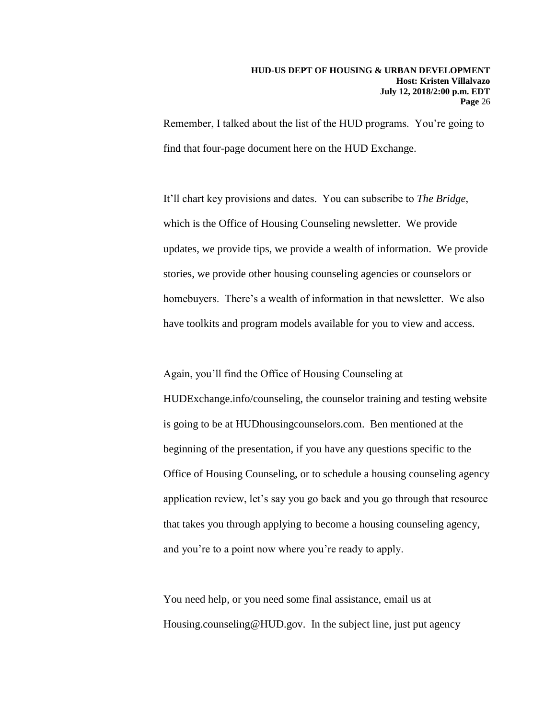Remember, I talked about the list of the HUD programs. You're going to find that four-page document here on the HUD Exchange.

It'll chart key provisions and dates. You can subscribe to *The Bridge*, which is the Office of Housing Counseling newsletter. We provide updates, we provide tips, we provide a wealth of information. We provide stories, we provide other housing counseling agencies or counselors or homebuyers. There's a wealth of information in that newsletter. We also have toolkits and program models available for you to view and access.

Again, you'll find the Office of Housing Counseling at HUDExchange.info/counseling, the counselor training and testing website is going to be at HUDhousingcounselors.com. Ben mentioned at the beginning of the presentation, if you have any questions specific to the Office of Housing Counseling, or to schedule a housing counseling agency application review, let's say you go back and you go through that resource that takes you through applying to become a housing counseling agency, and you're to a point now where you're ready to apply.

You need help, or you need some final assistance, email us at Housing.counseling@HUD.gov. In the subject line, just put agency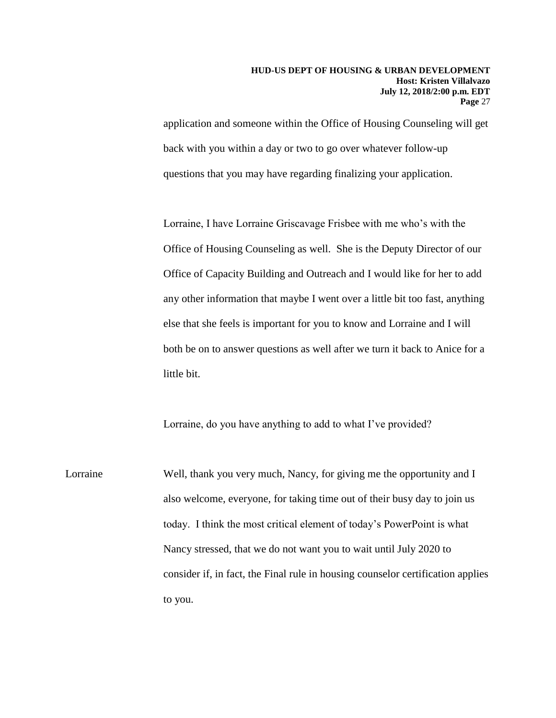application and someone within the Office of Housing Counseling will get back with you within a day or two to go over whatever follow-up questions that you may have regarding finalizing your application.

Lorraine, I have Lorraine Griscavage Frisbee with me who's with the Office of Housing Counseling as well. She is the Deputy Director of our Office of Capacity Building and Outreach and I would like for her to add any other information that maybe I went over a little bit too fast, anything else that she feels is important for you to know and Lorraine and I will both be on to answer questions as well after we turn it back to Anice for a little bit.

Lorraine, do you have anything to add to what I've provided?

Lorraine Well, thank you very much, Nancy, for giving me the opportunity and I also welcome, everyone, for taking time out of their busy day to join us today. I think the most critical element of today's PowerPoint is what Nancy stressed, that we do not want you to wait until July 2020 to consider if, in fact, the Final rule in housing counselor certification applies to you.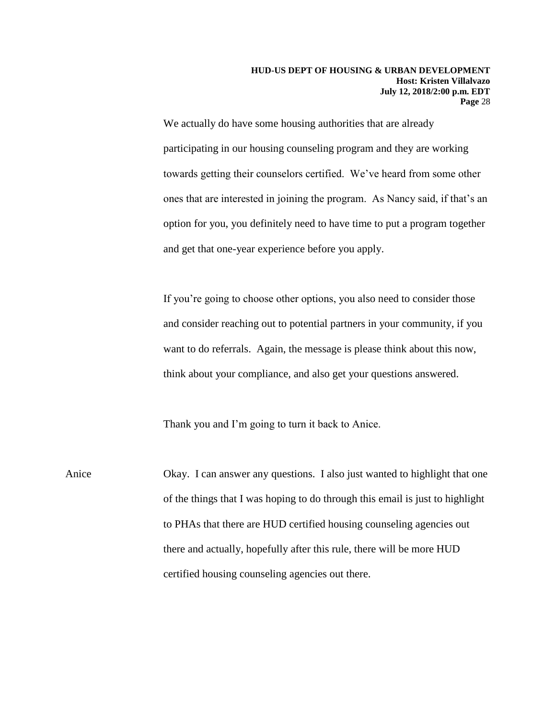We actually do have some housing authorities that are already participating in our housing counseling program and they are working towards getting their counselors certified. We've heard from some other ones that are interested in joining the program. As Nancy said, if that's an option for you, you definitely need to have time to put a program together and get that one-year experience before you apply.

If you're going to choose other options, you also need to consider those and consider reaching out to potential partners in your community, if you want to do referrals. Again, the message is please think about this now, think about your compliance, and also get your questions answered.

Thank you and I'm going to turn it back to Anice.

Anice Okay. I can answer any questions. I also just wanted to highlight that one of the things that I was hoping to do through this email is just to highlight to PHAs that there are HUD certified housing counseling agencies out there and actually, hopefully after this rule, there will be more HUD certified housing counseling agencies out there.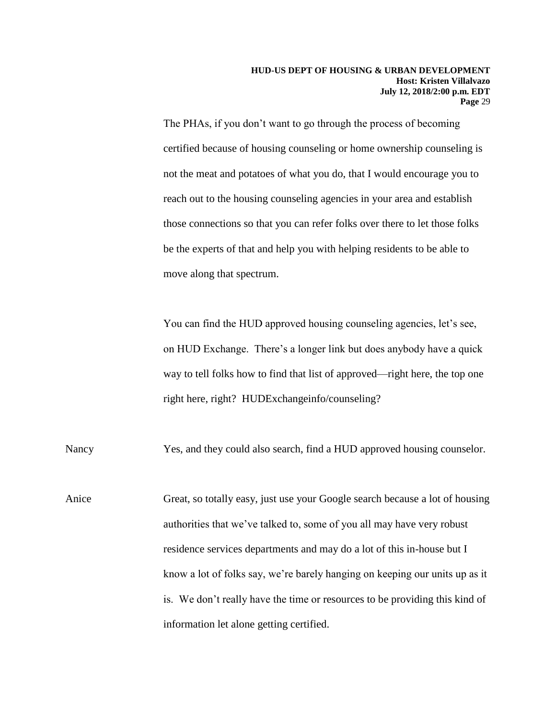The PHAs, if you don't want to go through the process of becoming certified because of housing counseling or home ownership counseling is not the meat and potatoes of what you do, that I would encourage you to reach out to the housing counseling agencies in your area and establish those connections so that you can refer folks over there to let those folks be the experts of that and help you with helping residents to be able to move along that spectrum.

You can find the HUD approved housing counseling agencies, let's see, on HUD Exchange. There's a longer link but does anybody have a quick way to tell folks how to find that list of approved—right here, the top one right here, right? HUDExchangeinfo/counseling?

Nancy Yes, and they could also search, find a HUD approved housing counselor.

Anice Great, so totally easy, just use your Google search because a lot of housing authorities that we've talked to, some of you all may have very robust residence services departments and may do a lot of this in-house but I know a lot of folks say, we're barely hanging on keeping our units up as it is. We don't really have the time or resources to be providing this kind of information let alone getting certified.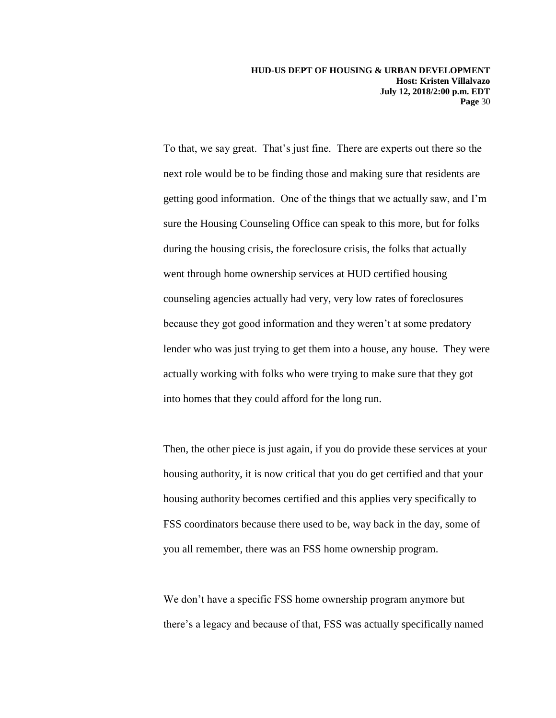To that, we say great. That's just fine. There are experts out there so the next role would be to be finding those and making sure that residents are getting good information. One of the things that we actually saw, and I'm sure the Housing Counseling Office can speak to this more, but for folks during the housing crisis, the foreclosure crisis, the folks that actually went through home ownership services at HUD certified housing counseling agencies actually had very, very low rates of foreclosures because they got good information and they weren't at some predatory lender who was just trying to get them into a house, any house. They were actually working with folks who were trying to make sure that they got into homes that they could afford for the long run.

Then, the other piece is just again, if you do provide these services at your housing authority, it is now critical that you do get certified and that your housing authority becomes certified and this applies very specifically to FSS coordinators because there used to be, way back in the day, some of you all remember, there was an FSS home ownership program.

We don't have a specific FSS home ownership program anymore but there's a legacy and because of that, FSS was actually specifically named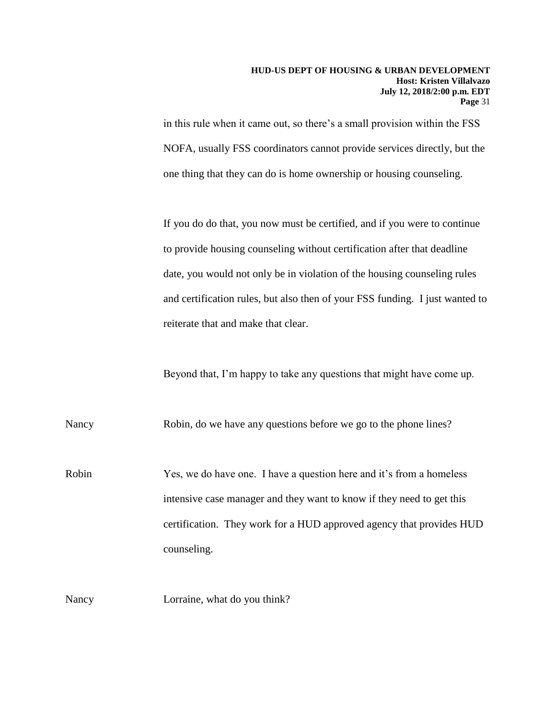in this rule when it came out, so there's a small provision within the FSS NOFA, usually FSS coordinators cannot provide services directly, but the one thing that they can do is home ownership or housing counseling.

If you do do that, you now must be certified, and if you were to continue to provide housing counseling without certification after that deadline date, you would not only be in violation of the housing counseling rules and certification rules, but also then of your FSS funding. I just wanted to reiterate that and make that clear.

Beyond that, I'm happy to take any questions that might have come up.

Nancy Robin, do we have any questions before we go to the phone lines?

Robin Yes, we do have one. I have a question here and it's from a homeless intensive case manager and they want to know if they need to get this certification. They work for a HUD approved agency that provides HUD counseling.

Nancy **Lorraine**, what do you think?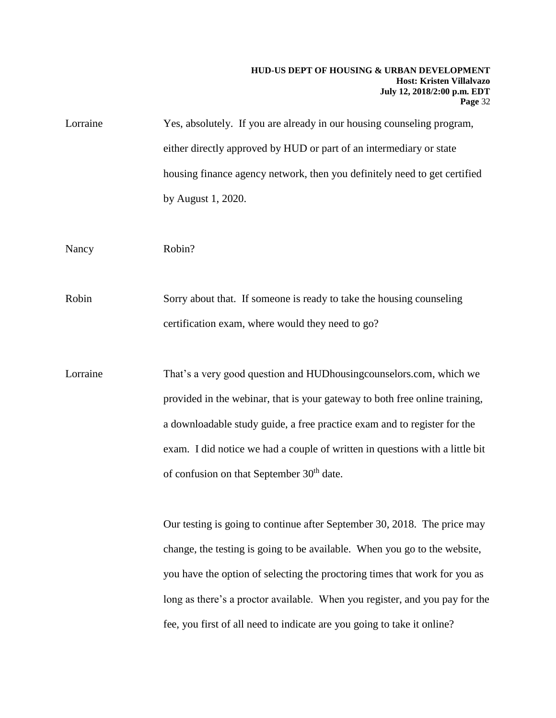| Lorraine | Yes, absolutely. If you are already in our housing counseling program,       |
|----------|------------------------------------------------------------------------------|
|          | either directly approved by HUD or part of an intermediary or state          |
|          | housing finance agency network, then you definitely need to get certified    |
|          | by August 1, 2020.                                                           |
|          |                                                                              |
| Nancy    | Robin?                                                                       |
|          |                                                                              |
| Robin    | Sorry about that. If someone is ready to take the housing counseling         |
|          | certification exam, where would they need to go?                             |
|          |                                                                              |
| Lorraine | That's a very good question and HUDhousing counselors.com, which we          |
|          | provided in the webinar, that is your gateway to both free online training,  |
|          | a downloadable study guide, a free practice exam and to register for the     |
|          | exam. I did notice we had a couple of written in questions with a little bit |
|          | of confusion on that September 30 <sup>th</sup> date.                        |

Our testing is going to continue after September 30, 2018. The price may change, the testing is going to be available. When you go to the website, you have the option of selecting the proctoring times that work for you as long as there's a proctor available. When you register, and you pay for the fee, you first of all need to indicate are you going to take it online?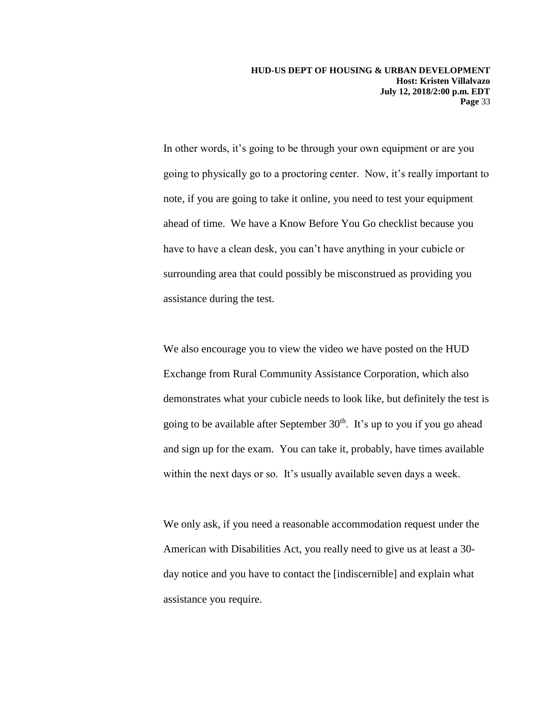In other words, it's going to be through your own equipment or are you going to physically go to a proctoring center. Now, it's really important to note, if you are going to take it online, you need to test your equipment ahead of time. We have a Know Before You Go checklist because you have to have a clean desk, you can't have anything in your cubicle or surrounding area that could possibly be misconstrued as providing you assistance during the test.

We also encourage you to view the video we have posted on the HUD Exchange from Rural Community Assistance Corporation, which also demonstrates what your cubicle needs to look like, but definitely the test is going to be available after September  $30<sup>th</sup>$ . It's up to you if you go ahead and sign up for the exam. You can take it, probably, have times available within the next days or so. It's usually available seven days a week.

We only ask, if you need a reasonable accommodation request under the American with Disabilities Act, you really need to give us at least a 30 day notice and you have to contact the [indiscernible] and explain what assistance you require.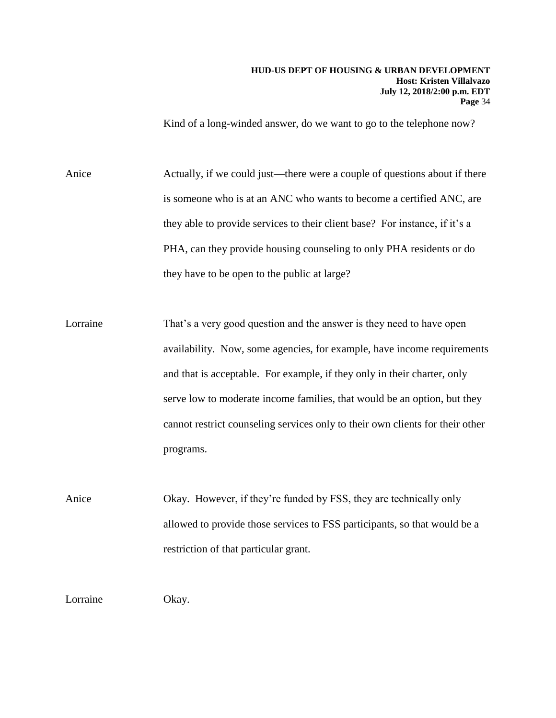Kind of a long-winded answer, do we want to go to the telephone now?

Anice Actually, if we could just—there were a couple of questions about if there is someone who is at an ANC who wants to become a certified ANC, are they able to provide services to their client base? For instance, if it's a PHA, can they provide housing counseling to only PHA residents or do they have to be open to the public at large?

Lorraine That's a very good question and the answer is they need to have open availability. Now, some agencies, for example, have income requirements and that is acceptable. For example, if they only in their charter, only serve low to moderate income families, that would be an option, but they cannot restrict counseling services only to their own clients for their other programs.

Anice Okay. However, if they're funded by FSS, they are technically only allowed to provide those services to FSS participants, so that would be a restriction of that particular grant.

Lorraine Okay.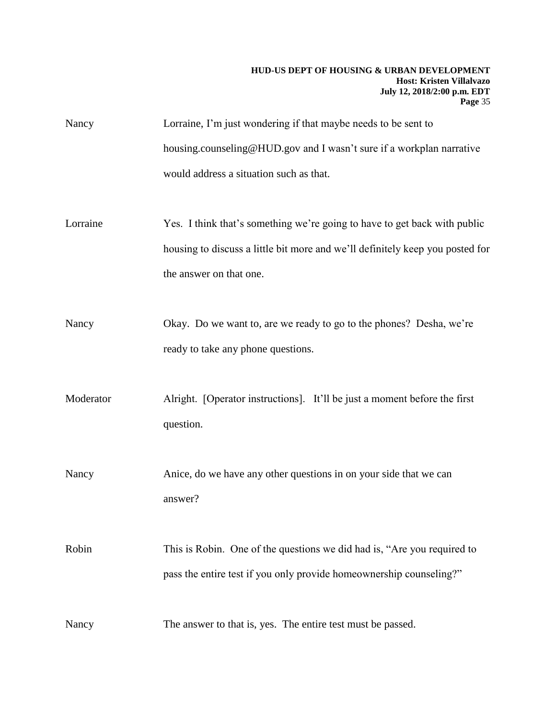| Nancy | Lorraine, I'm just wondering if that maybe needs to be sent to        |
|-------|-----------------------------------------------------------------------|
|       | housing counseling @HUD gov and I wasn't sure if a workplan narrative |
|       | would address a situation such as that.                               |

- Lorraine Yes. I think that's something we're going to have to get back with public housing to discuss a little bit more and we'll definitely keep you posted for the answer on that one.
- Nancy Okay. Do we want to, are we ready to go to the phones? Desha, we're ready to take any phone questions.

Moderator Alright. [Operator instructions]. It'll be just a moment before the first question.

Nancy Anice, do we have any other questions in on your side that we can answer?

Robin This is Robin. One of the questions we did had is, "Are you required to pass the entire test if you only provide homeownership counseling?"

Nancy The answer to that is, yes. The entire test must be passed.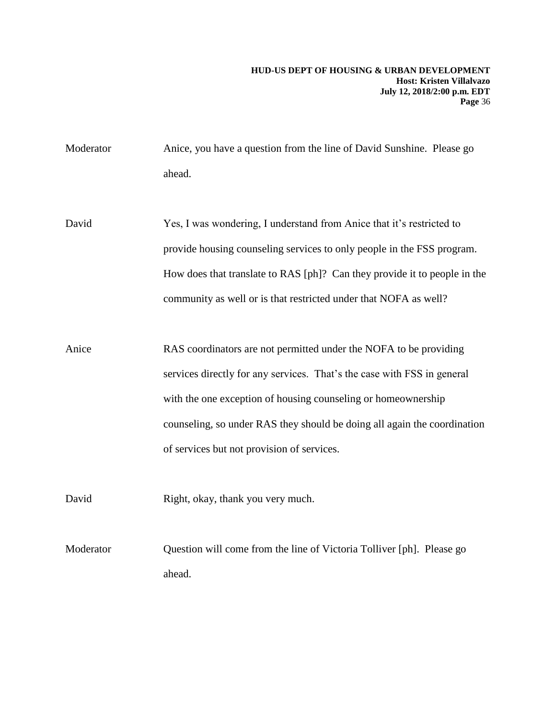Moderator Anice, you have a question from the line of David Sunshine. Please go ahead.

David Yes, I was wondering, I understand from Anice that it's restricted to provide housing counseling services to only people in the FSS program. How does that translate to RAS [ph]? Can they provide it to people in the community as well or is that restricted under that NOFA as well?

Anice RAS coordinators are not permitted under the NOFA to be providing services directly for any services. That's the case with FSS in general with the one exception of housing counseling or homeownership counseling, so under RAS they should be doing all again the coordination of services but not provision of services.

David Right, okay, thank you very much.

Moderator Question will come from the line of Victoria Tolliver [ph]. Please go ahead.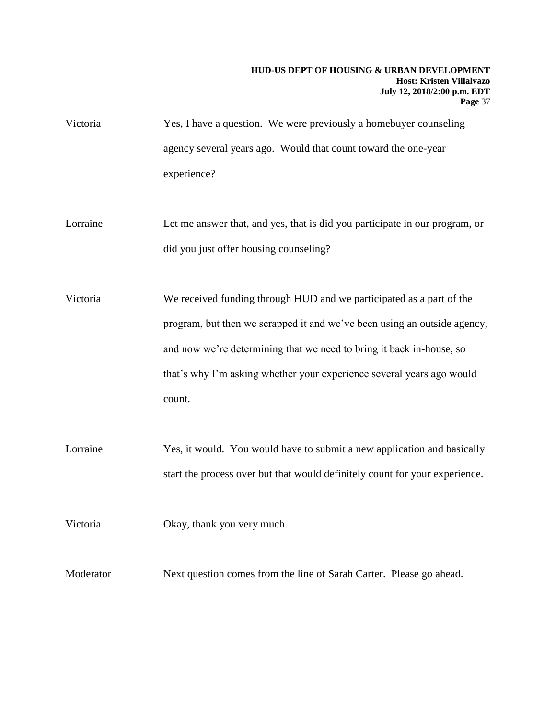- Victoria Yes, I have a question. We were previously a homebuyer counseling agency several years ago. Would that count toward the one-year experience?
- Lorraine Let me answer that, and yes, that is did you participate in our program, or did you just offer housing counseling?

Victoria We received funding through HUD and we participated as a part of the program, but then we scrapped it and we've been using an outside agency, and now we're determining that we need to bring it back in-house, so that's why I'm asking whether your experience several years ago would count.

Lorraine Yes, it would. You would have to submit a new application and basically start the process over but that would definitely count for your experience.

Victoria Okay, thank you very much.

Moderator Next question comes from the line of Sarah Carter. Please go ahead.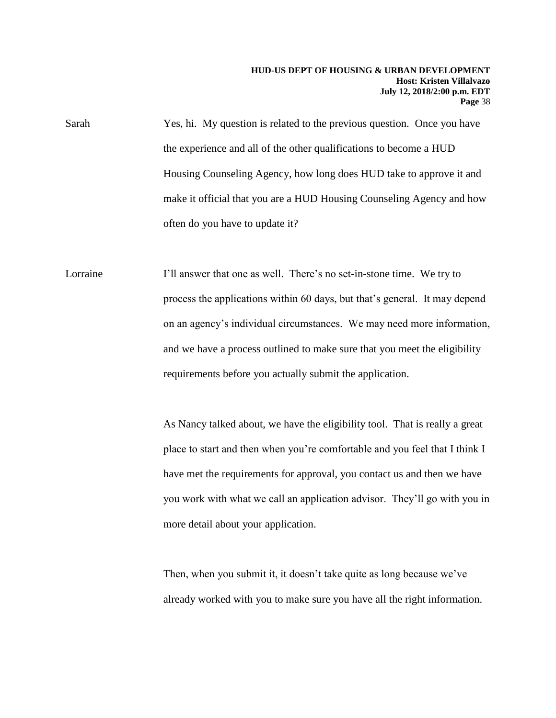Sarah Yes, hi. My question is related to the previous question. Once you have the experience and all of the other qualifications to become a HUD Housing Counseling Agency, how long does HUD take to approve it and make it official that you are a HUD Housing Counseling Agency and how often do you have to update it?

Lorraine I'll answer that one as well. There's no set-in-stone time. We try to process the applications within 60 days, but that's general. It may depend on an agency's individual circumstances. We may need more information, and we have a process outlined to make sure that you meet the eligibility requirements before you actually submit the application.

> As Nancy talked about, we have the eligibility tool. That is really a great place to start and then when you're comfortable and you feel that I think I have met the requirements for approval, you contact us and then we have you work with what we call an application advisor. They'll go with you in more detail about your application.

Then, when you submit it, it doesn't take quite as long because we've already worked with you to make sure you have all the right information.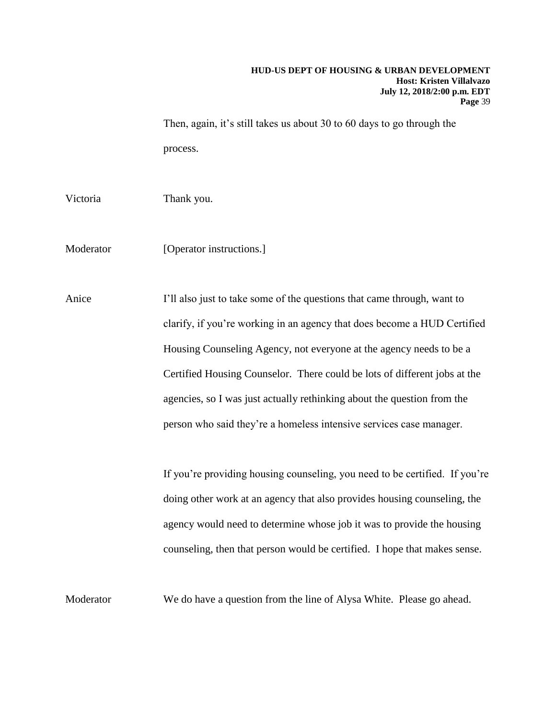Then, again, it's still takes us about 30 to 60 days to go through the process.

Victoria Thank you.

Moderator [Operator instructions.]

Anice I'll also just to take some of the questions that came through, want to clarify, if you're working in an agency that does become a HUD Certified Housing Counseling Agency, not everyone at the agency needs to be a Certified Housing Counselor. There could be lots of different jobs at the agencies, so I was just actually rethinking about the question from the person who said they're a homeless intensive services case manager.

> If you're providing housing counseling, you need to be certified. If you're doing other work at an agency that also provides housing counseling, the agency would need to determine whose job it was to provide the housing counseling, then that person would be certified. I hope that makes sense.

Moderator We do have a question from the line of Alysa White. Please go ahead.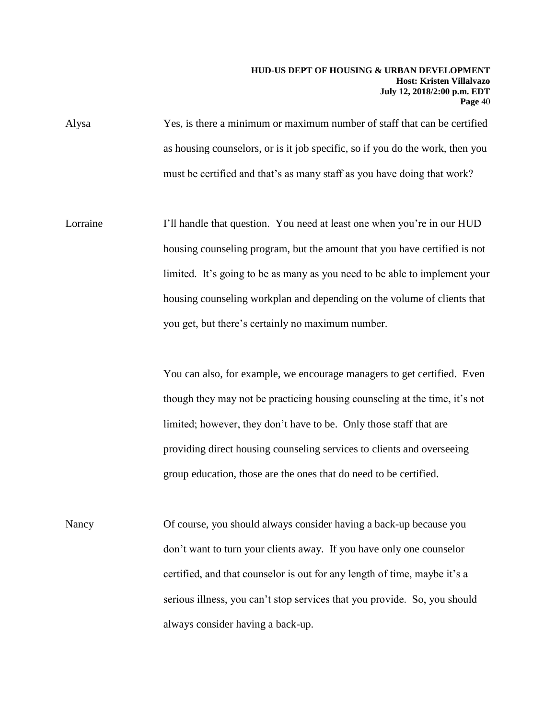Alysa Yes, is there a minimum or maximum number of staff that can be certified as housing counselors, or is it job specific, so if you do the work, then you must be certified and that's as many staff as you have doing that work?

Lorraine I'll handle that question. You need at least one when you're in our HUD housing counseling program, but the amount that you have certified is not limited. It's going to be as many as you need to be able to implement your housing counseling workplan and depending on the volume of clients that you get, but there's certainly no maximum number.

> You can also, for example, we encourage managers to get certified. Even though they may not be practicing housing counseling at the time, it's not limited; however, they don't have to be. Only those staff that are providing direct housing counseling services to clients and overseeing group education, those are the ones that do need to be certified.

Nancy Of course, you should always consider having a back-up because you don't want to turn your clients away. If you have only one counselor certified, and that counselor is out for any length of time, maybe it's a serious illness, you can't stop services that you provide. So, you should always consider having a back-up.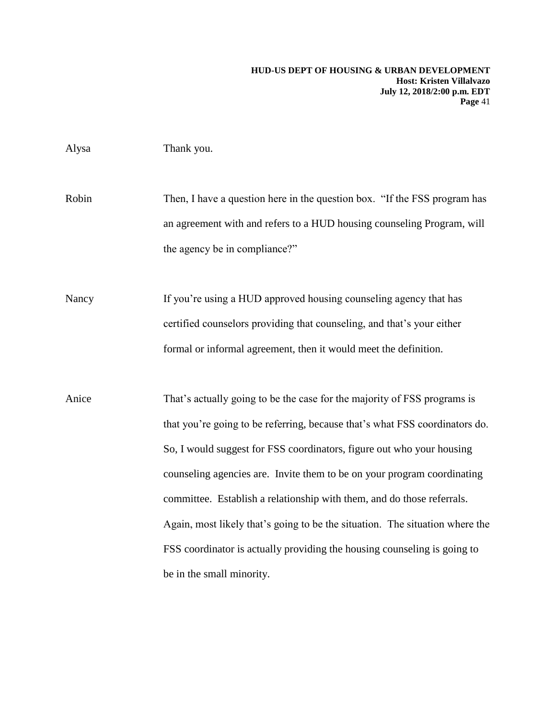|  | Alysa | Thank you. |
|--|-------|------------|
|--|-------|------------|

Robin Then, I have a question here in the question box. "If the FSS program has an agreement with and refers to a HUD housing counseling Program, will the agency be in compliance?"

Nancy If you're using a HUD approved housing counseling agency that has certified counselors providing that counseling, and that's your either formal or informal agreement, then it would meet the definition.

Anice That's actually going to be the case for the majority of FSS programs is that you're going to be referring, because that's what FSS coordinators do. So, I would suggest for FSS coordinators, figure out who your housing counseling agencies are. Invite them to be on your program coordinating committee. Establish a relationship with them, and do those referrals. Again, most likely that's going to be the situation. The situation where the FSS coordinator is actually providing the housing counseling is going to be in the small minority.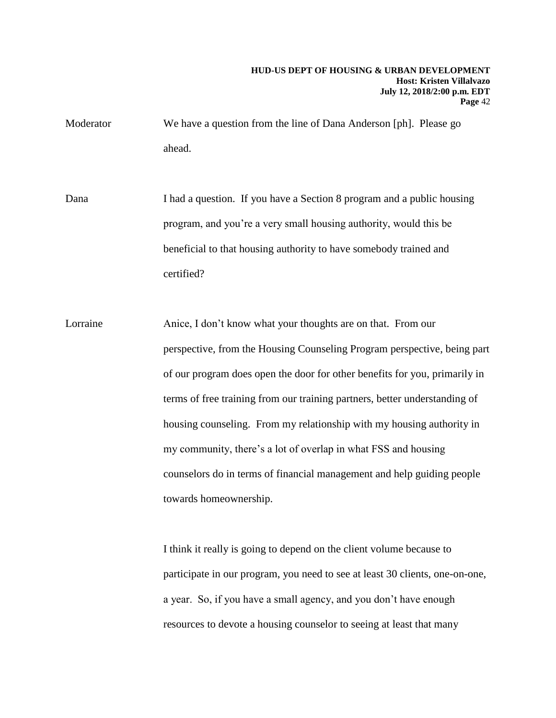Moderator We have a question from the line of Dana Anderson [ph]. Please go ahead.

Dana I had a question. If you have a Section 8 program and a public housing program, and you're a very small housing authority, would this be beneficial to that housing authority to have somebody trained and certified?

Lorraine **Anice**, I don't know what your thoughts are on that. From our perspective, from the Housing Counseling Program perspective, being part of our program does open the door for other benefits for you, primarily in terms of free training from our training partners, better understanding of housing counseling. From my relationship with my housing authority in my community, there's a lot of overlap in what FSS and housing counselors do in terms of financial management and help guiding people towards homeownership.

> I think it really is going to depend on the client volume because to participate in our program, you need to see at least 30 clients, one-on-one, a year. So, if you have a small agency, and you don't have enough resources to devote a housing counselor to seeing at least that many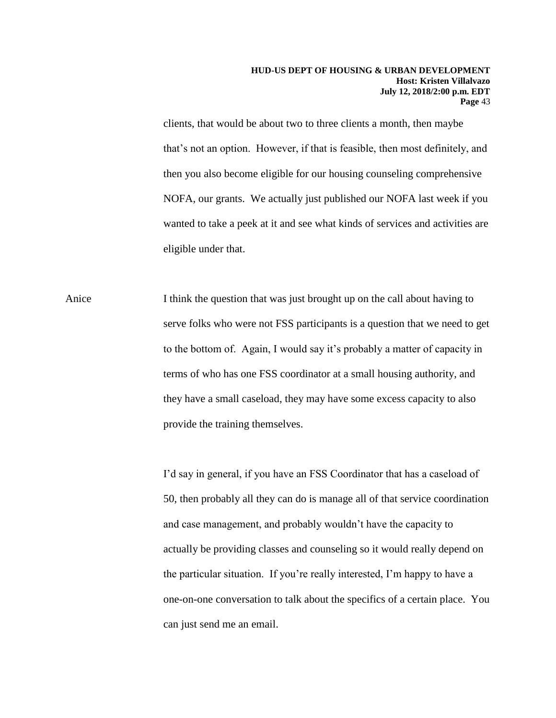clients, that would be about two to three clients a month, then maybe that's not an option. However, if that is feasible, then most definitely, and then you also become eligible for our housing counseling comprehensive NOFA, our grants. We actually just published our NOFA last week if you wanted to take a peek at it and see what kinds of services and activities are eligible under that.

Anice I think the question that was just brought up on the call about having to serve folks who were not FSS participants is a question that we need to get to the bottom of. Again, I would say it's probably a matter of capacity in terms of who has one FSS coordinator at a small housing authority, and they have a small caseload, they may have some excess capacity to also provide the training themselves.

> I'd say in general, if you have an FSS Coordinator that has a caseload of 50, then probably all they can do is manage all of that service coordination and case management, and probably wouldn't have the capacity to actually be providing classes and counseling so it would really depend on the particular situation. If you're really interested, I'm happy to have a one-on-one conversation to talk about the specifics of a certain place. You can just send me an email.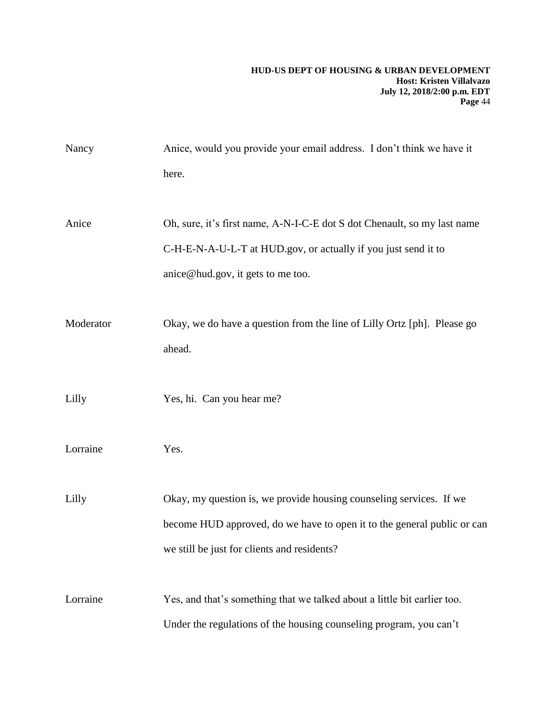| Nancy     | Anice, would you provide your email address. I don't think we have it    |
|-----------|--------------------------------------------------------------------------|
|           | here.                                                                    |
|           |                                                                          |
| Anice     | Oh, sure, it's first name, A-N-I-C-E dot S dot Chenault, so my last name |
|           | C-H-E-N-A-U-L-T at HUD.gov, or actually if you just send it to           |
|           | anice@hud.gov, it gets to me too.                                        |
|           |                                                                          |
| Moderator | Okay, we do have a question from the line of Lilly Ortz [ph]. Please go  |
|           | ahead.                                                                   |
|           |                                                                          |
| Lilly     | Yes, hi. Can you hear me?                                                |
|           |                                                                          |
| Lorraine  | Yes.                                                                     |
|           |                                                                          |
| Lilly     | Okay, my question is, we provide housing counseling services. If we      |
|           | become HUD approved, do we have to open it to the general public or can  |
|           | we still be just for clients and residents?                              |
|           |                                                                          |
| Lorraine  | Yes, and that's something that we talked about a little bit earlier too. |
|           | Under the regulations of the housing counseling program, you can't       |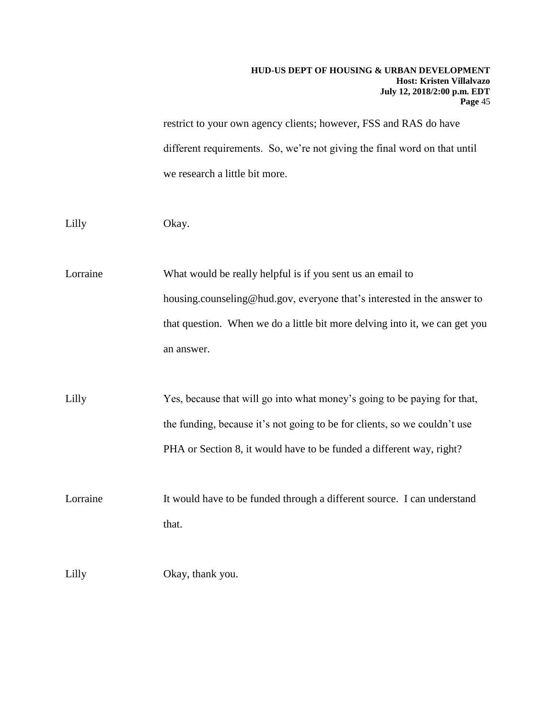restrict to your own agency clients; however, FSS and RAS do have different requirements. So, we're not giving the final word on that until we research a little bit more.

Lilly Okay.

Lorraine What would be really helpful is if you sent us an email to housing.counseling@hud.gov, everyone that's interested in the answer to that question. When we do a little bit more delving into it, we can get you an answer.

Lilly Yes, because that will go into what money's going to be paying for that, the funding, because it's not going to be for clients, so we couldn't use PHA or Section 8, it would have to be funded a different way, right?

Lorraine It would have to be funded through a different source. I can understand that.

Lilly Okay, thank you.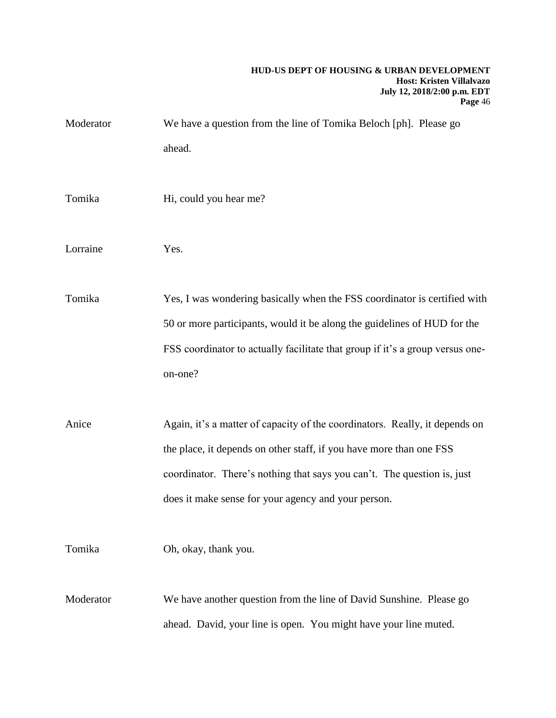| Moderator | We have a question from the line of Tomika Beloch [ph]. Please go<br>ahead.                                                                                                                                                                                                          |
|-----------|--------------------------------------------------------------------------------------------------------------------------------------------------------------------------------------------------------------------------------------------------------------------------------------|
| Tomika    | Hi, could you hear me?                                                                                                                                                                                                                                                               |
| Lorraine  | Yes.                                                                                                                                                                                                                                                                                 |
| Tomika    | Yes, I was wondering basically when the FSS coordinator is certified with<br>50 or more participants, would it be along the guidelines of HUD for the<br>FSS coordinator to actually facilitate that group if it's a group versus one-<br>on-one?                                    |
| Anice     | Again, it's a matter of capacity of the coordinators. Really, it depends on<br>the place, it depends on other staff, if you have more than one FSS<br>coordinator. There's nothing that says you can't. The question is, just<br>does it make sense for your agency and your person. |
| Tomika    | Oh, okay, thank you.                                                                                                                                                                                                                                                                 |
| Moderator | We have another question from the line of David Sunshine. Please go<br>ahead. David, your line is open. You might have your line muted.                                                                                                                                              |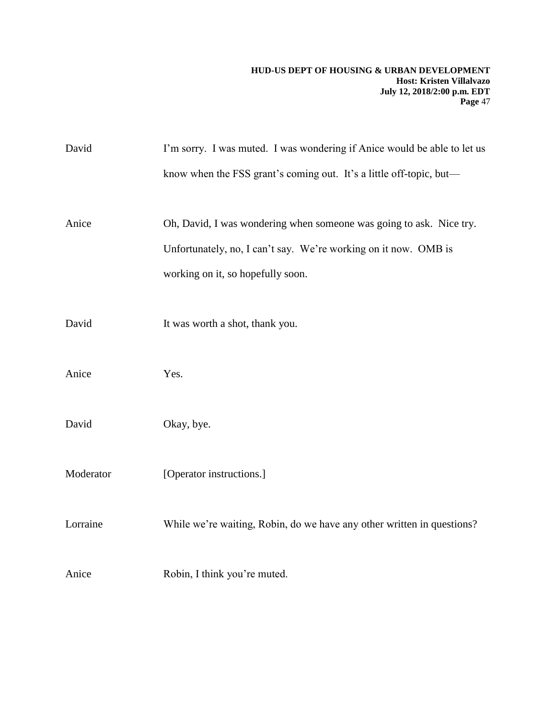| David     | I'm sorry. I was muted. I was wondering if Anice would be able to let us |
|-----------|--------------------------------------------------------------------------|
|           | know when the FSS grant's coming out. It's a little off-topic, but-      |
| Anice     | Oh, David, I was wondering when someone was going to ask. Nice try.      |
|           | Unfortunately, no, I can't say. We're working on it now. OMB is          |
|           | working on it, so hopefully soon.                                        |
| David     | It was worth a shot, thank you.                                          |
| Anice     | Yes.                                                                     |
| David     | Okay, bye.                                                               |
| Moderator | [Operator instructions.]                                                 |
| Lorraine  | While we're waiting, Robin, do we have any other written in questions?   |
| Anice     | Robin, I think you're muted.                                             |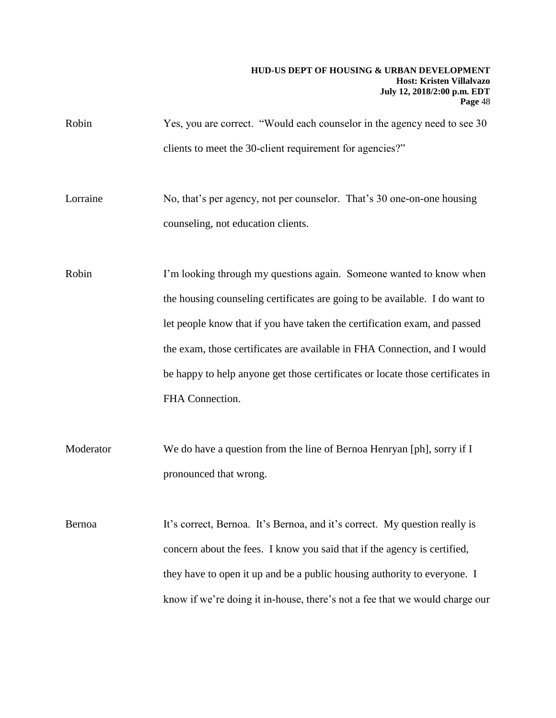Robin Yes, you are correct. "Would each counselor in the agency need to see 30 clients to meet the 30-client requirement for agencies?"

Lorraine No, that's per agency, not per counselor. That's 30 one-on-one housing counseling, not education clients.

Robin I'm looking through my questions again. Someone wanted to know when the housing counseling certificates are going to be available. I do want to let people know that if you have taken the certification exam, and passed the exam, those certificates are available in FHA Connection, and I would be happy to help anyone get those certificates or locate those certificates in FHA Connection.

Moderator We do have a question from the line of Bernoa Henryan [ph], sorry if I pronounced that wrong.

Bernoa It's correct, Bernoa. It's Bernoa, and it's correct. My question really is concern about the fees. I know you said that if the agency is certified, they have to open it up and be a public housing authority to everyone. I know if we're doing it in-house, there's not a fee that we would charge our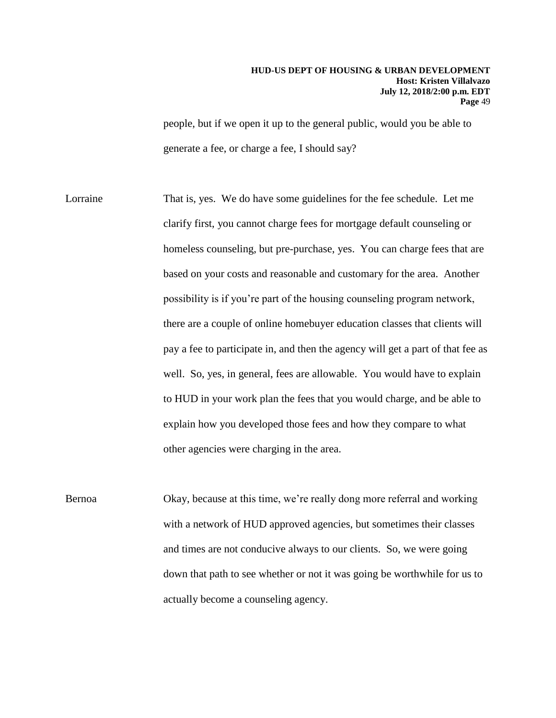people, but if we open it up to the general public, would you be able to generate a fee, or charge a fee, I should say?

Lorraine That is, yes. We do have some guidelines for the fee schedule. Let me clarify first, you cannot charge fees for mortgage default counseling or homeless counseling, but pre-purchase, yes. You can charge fees that are based on your costs and reasonable and customary for the area. Another possibility is if you're part of the housing counseling program network, there are a couple of online homebuyer education classes that clients will pay a fee to participate in, and then the agency will get a part of that fee as well. So, yes, in general, fees are allowable. You would have to explain to HUD in your work plan the fees that you would charge, and be able to explain how you developed those fees and how they compare to what other agencies were charging in the area.

Bernoa Okay, because at this time, we're really dong more referral and working with a network of HUD approved agencies, but sometimes their classes and times are not conducive always to our clients. So, we were going down that path to see whether or not it was going be worthwhile for us to actually become a counseling agency.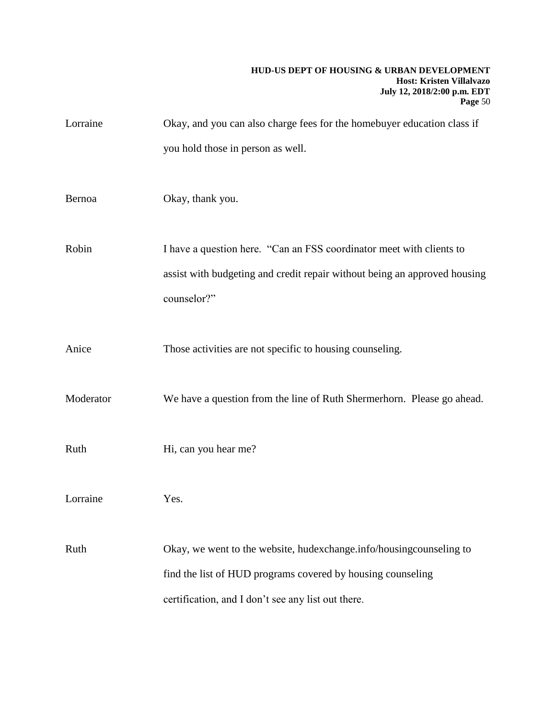| Lorraine  | Okay, and you can also charge fees for the homebuyer education class if   |
|-----------|---------------------------------------------------------------------------|
|           | you hold those in person as well.                                         |
|           |                                                                           |
| Bernoa    | Okay, thank you.                                                          |
|           |                                                                           |
| Robin     | I have a question here. "Can an FSS coordinator meet with clients to      |
|           | assist with budgeting and credit repair without being an approved housing |
|           | counselor?"                                                               |
|           |                                                                           |
| Anice     | Those activities are not specific to housing counseling.                  |
|           |                                                                           |
| Moderator | We have a question from the line of Ruth Shermerhorn. Please go ahead.    |
|           |                                                                           |
| Ruth      | Hi, can you hear me?                                                      |
|           |                                                                           |
| Lorraine  | Yes.                                                                      |
|           |                                                                           |
| Ruth      | Okay, we went to the website, hudexchange.info/housingcounseling to       |
|           | find the list of HUD programs covered by housing counseling               |
|           | certification, and I don't see any list out there.                        |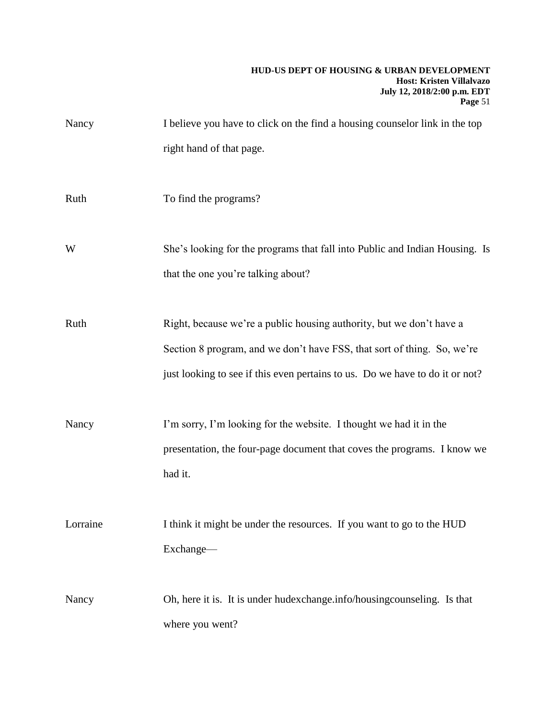| Nancy    | I believe you have to click on the find a housing counselor link in the top                                                                                                                                                     |
|----------|---------------------------------------------------------------------------------------------------------------------------------------------------------------------------------------------------------------------------------|
|          | right hand of that page.                                                                                                                                                                                                        |
| Ruth     | To find the programs?                                                                                                                                                                                                           |
| W        | She's looking for the programs that fall into Public and Indian Housing. Is<br>that the one you're talking about?                                                                                                               |
| Ruth     | Right, because we're a public housing authority, but we don't have a<br>Section 8 program, and we don't have FSS, that sort of thing. So, we're<br>just looking to see if this even pertains to us. Do we have to do it or not? |
| Nancy    | I'm sorry, I'm looking for the website. I thought we had it in the<br>presentation, the four-page document that coves the programs. I know we<br>had it.                                                                        |
| Lorraine | I think it might be under the resources. If you want to go to the HUD<br>Exchange-                                                                                                                                              |
| Nancy    | Oh, here it is. It is under hudexchange info/housing counseling. Is that<br>where you went?                                                                                                                                     |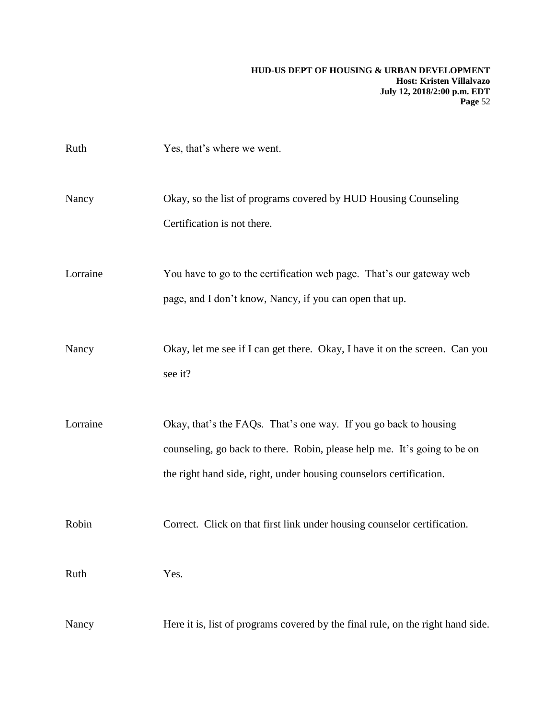| Ruth     | Yes, that's where we went.                                                                                                                                                                                          |
|----------|---------------------------------------------------------------------------------------------------------------------------------------------------------------------------------------------------------------------|
| Nancy    | Okay, so the list of programs covered by HUD Housing Counseling<br>Certification is not there.                                                                                                                      |
| Lorraine | You have to go to the certification web page. That's our gateway web<br>page, and I don't know, Nancy, if you can open that up.                                                                                     |
| Nancy    | Okay, let me see if I can get there. Okay, I have it on the screen. Can you<br>see it?                                                                                                                              |
| Lorraine | Okay, that's the FAQs. That's one way. If you go back to housing<br>counseling, go back to there. Robin, please help me. It's going to be on<br>the right hand side, right, under housing counselors certification. |
| Robin    | Correct. Click on that first link under housing counselor certification.                                                                                                                                            |
| Ruth     | Yes.                                                                                                                                                                                                                |
| Nancy    | Here it is, list of programs covered by the final rule, on the right hand side.                                                                                                                                     |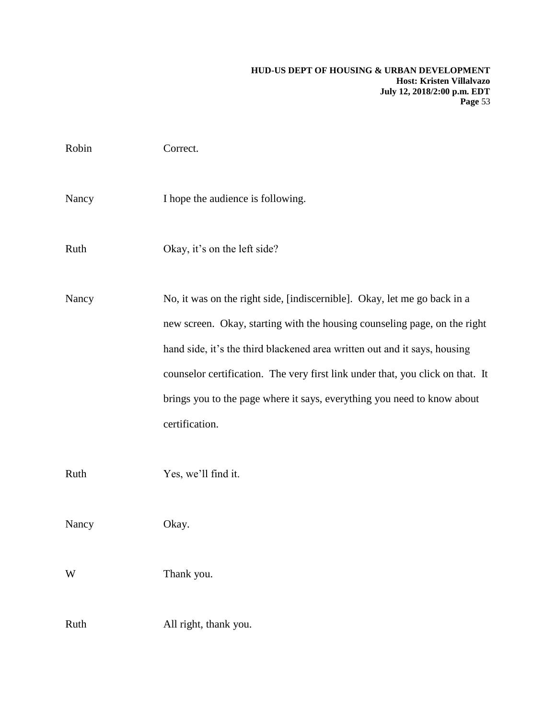| Robin | Correct.                                                                                                                                                                                                                                                                                                                                                                                                          |
|-------|-------------------------------------------------------------------------------------------------------------------------------------------------------------------------------------------------------------------------------------------------------------------------------------------------------------------------------------------------------------------------------------------------------------------|
| Nancy | I hope the audience is following.                                                                                                                                                                                                                                                                                                                                                                                 |
| Ruth  | Okay, it's on the left side?                                                                                                                                                                                                                                                                                                                                                                                      |
| Nancy | No, it was on the right side, [indiscernible]. Okay, let me go back in a<br>new screen. Okay, starting with the housing counseling page, on the right<br>hand side, it's the third blackened area written out and it says, housing<br>counselor certification. The very first link under that, you click on that. It<br>brings you to the page where it says, everything you need to know about<br>certification. |
| Ruth  | Yes, we'll find it.                                                                                                                                                                                                                                                                                                                                                                                               |
| Nancy | Okay.                                                                                                                                                                                                                                                                                                                                                                                                             |
| W     | Thank you.                                                                                                                                                                                                                                                                                                                                                                                                        |
| Ruth  | All right, thank you.                                                                                                                                                                                                                                                                                                                                                                                             |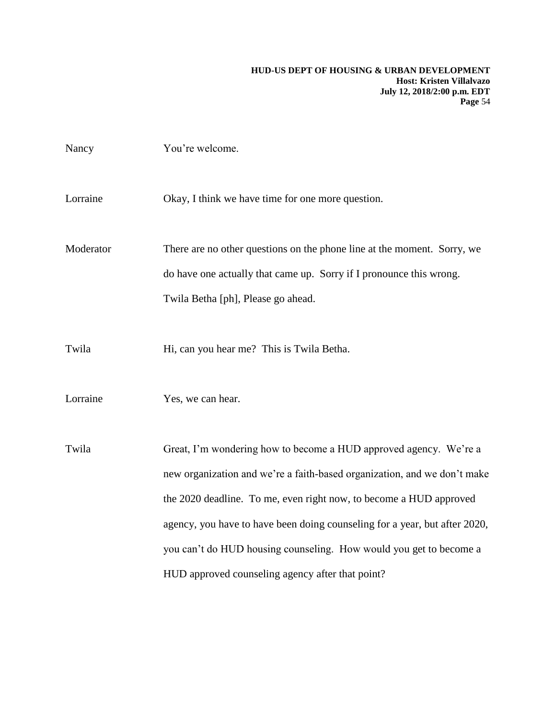| Nancy     | You're welcome.                                                                                                                                                                                                                                                                                                                                                                                                             |
|-----------|-----------------------------------------------------------------------------------------------------------------------------------------------------------------------------------------------------------------------------------------------------------------------------------------------------------------------------------------------------------------------------------------------------------------------------|
| Lorraine  | Okay, I think we have time for one more question.                                                                                                                                                                                                                                                                                                                                                                           |
| Moderator | There are no other questions on the phone line at the moment. Sorry, we<br>do have one actually that came up. Sorry if I pronounce this wrong.<br>Twila Betha [ph], Please go ahead.                                                                                                                                                                                                                                        |
| Twila     | Hi, can you hear me? This is Twila Betha.                                                                                                                                                                                                                                                                                                                                                                                   |
| Lorraine  | Yes, we can hear.                                                                                                                                                                                                                                                                                                                                                                                                           |
| Twila     | Great, I'm wondering how to become a HUD approved agency. We're a<br>new organization and we're a faith-based organization, and we don't make<br>the 2020 deadline. To me, even right now, to become a HUD approved<br>agency, you have to have been doing counseling for a year, but after 2020,<br>you can't do HUD housing counseling. How would you get to become a<br>HUD approved counseling agency after that point? |
|           |                                                                                                                                                                                                                                                                                                                                                                                                                             |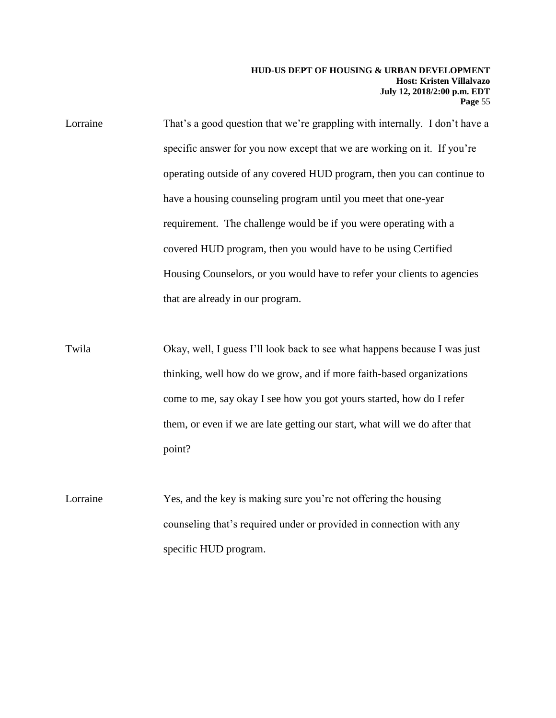Lorraine That's a good question that we're grappling with internally. I don't have a specific answer for you now except that we are working on it. If you're operating outside of any covered HUD program, then you can continue to have a housing counseling program until you meet that one-year requirement. The challenge would be if you were operating with a covered HUD program, then you would have to be using Certified Housing Counselors, or you would have to refer your clients to agencies that are already in our program.

Twila Okay, well, I guess I'll look back to see what happens because I was just thinking, well how do we grow, and if more faith-based organizations come to me, say okay I see how you got yours started, how do I refer them, or even if we are late getting our start, what will we do after that point?

Lorraine Yes, and the key is making sure you're not offering the housing counseling that's required under or provided in connection with any specific HUD program.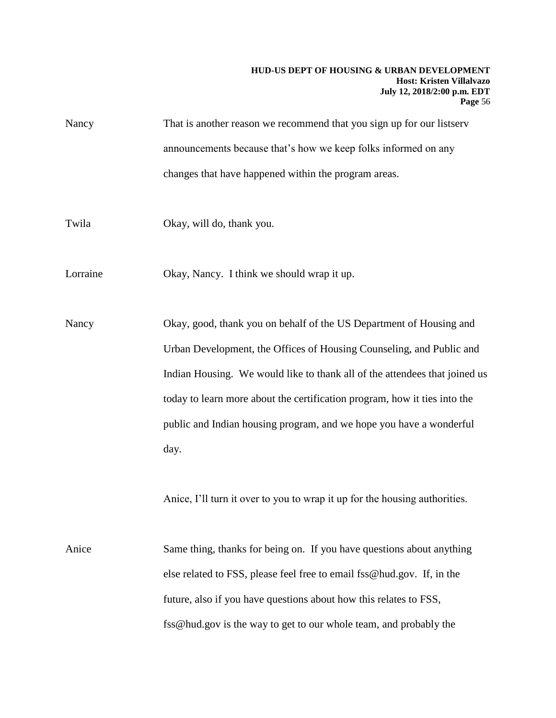| Nancy | That is another reason we recommend that you sign up for our listserv |
|-------|-----------------------------------------------------------------------|
|       | announcements because that's how we keep folks informed on any        |
|       | changes that have happened within the program areas.                  |

Twila Okay, will do, thank you.

Lorraine Okay, Nancy. I think we should wrap it up.

Nancy Okay, good, thank you on behalf of the US Department of Housing and Urban Development, the Offices of Housing Counseling, and Public and Indian Housing. We would like to thank all of the attendees that joined us today to learn more about the certification program, how it ties into the public and Indian housing program, and we hope you have a wonderful day.

Anice, I'll turn it over to you to wrap it up for the housing authorities.

Anice Same thing, thanks for being on. If you have questions about anything else related to FSS, please feel free to email fss@hud.gov. If, in the future, also if you have questions about how this relates to FSS, fss@hud.gov is the way to get to our whole team, and probably the